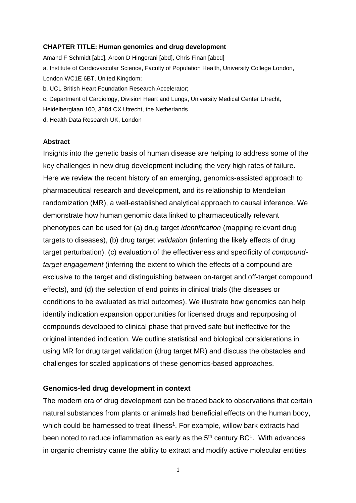#### **CHAPTER TITLE: Human genomics and drug development**

Amand F Schmidt [abc], Aroon D Hingorani [abd], Chris Finan [abcd] a. Institute of Cardiovascular Science, Faculty of Population Health, University College London, London WC1E 6BT, United Kingdom; b. UCL British Heart Foundation Research Accelerator; c. Department of Cardiology, Division Heart and Lungs, University Medical Center Utrecht, Heidelberglaan 100, 3584 CX Utrecht, the Netherlands d. Health Data Research UK, London

#### **Abstract**

Insights into the genetic basis of human disease are helping to address some of the key challenges in new drug development including the very high rates of failure. Here we review the recent history of an emerging, genomics-assisted approach to pharmaceutical research and development, and its relationship to Mendelian randomization (MR), a well-established analytical approach to causal inference. We demonstrate how human genomic data linked to pharmaceutically relevant phenotypes can be used for (a) drug target *identification* (mapping relevant drug targets to diseases), (b) drug target *validation* (inferring the likely effects of drug target perturbation), (c) evaluation of the effectiveness and specificity of *compoundtarget engagement* (inferring the extent to which the effects of a compound are exclusive to the target and distinguishing between on-target and off-target compound effects), and (d) the selection of end points in clinical trials (the diseases or conditions to be evaluated as trial outcomes). We illustrate how genomics can help identify indication expansion opportunities for licensed drugs and repurposing of compounds developed to clinical phase that proved safe but ineffective for the original intended indication. We outline statistical and biological considerations in using MR for drug target validation (drug target MR) and discuss the obstacles and challenges for scaled applications of these genomics-based approaches.

### **Genomics-led drug development in context**

The modern era of drug development can be traced back to observations that certain natural substances from plants or animals had beneficial effects on the human body, which could be harnessed to treat illness<sup>1</sup>. For example, willow bark extracts had been noted to reduce inflammation as early as the  $5<sup>th</sup>$  century BC<sup>1</sup>. With advances in organic chemistry came the ability to extract and modify active molecular entities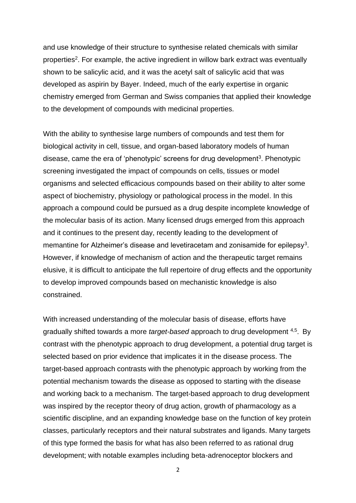and use knowledge of their structure to synthesise related chemicals with similar properties<sup>2</sup>. For example, the active ingredient in willow bark extract was eventually shown to be salicylic acid, and it was the acetyl salt of salicylic acid that was developed as aspirin by Bayer. Indeed, much of the early expertise in organic chemistry emerged from German and Swiss companies that applied their knowledge to the development of compounds with medicinal properties.

With the ability to synthesise large numbers of compounds and test them for biological activity in cell, tissue, and organ-based laboratory models of human disease, came the era of 'phenotypic' screens for drug development<sup>3</sup>. Phenotypic screening investigated the impact of compounds on cells, tissues or model organisms and selected efficacious compounds based on their ability to alter some aspect of biochemistry, physiology or pathological process in the model. In this approach a compound could be pursued as a drug despite incomplete knowledge of the molecular basis of its action. Many licensed drugs emerged from this approach and it continues to the present day, recently leading to the development of memantine for Alzheimer's disease and levetiracetam and zonisamide for epilepsy<sup>3</sup>. However, if knowledge of mechanism of action and the therapeutic target remains elusive, it is difficult to anticipate the full repertoire of drug effects and the opportunity to develop improved compounds based on mechanistic knowledge is also constrained.

With increased understanding of the molecular basis of disease, efforts have gradually shifted towards a more *target-based* approach to drug development <sup>4,5</sup>. By contrast with the phenotypic approach to drug development, a potential drug target is selected based on prior evidence that implicates it in the disease process. The target-based approach contrasts with the phenotypic approach by working from the potential mechanism towards the disease as opposed to starting with the disease and working back to a mechanism. The target-based approach to drug development was inspired by the receptor theory of drug action, growth of pharmacology as a scientific discipline, and an expanding knowledge base on the function of key protein classes, particularly receptors and their natural substrates and ligands. Many targets of this type formed the basis for what has also been referred to as rational drug development; with notable examples including beta-adrenoceptor blockers and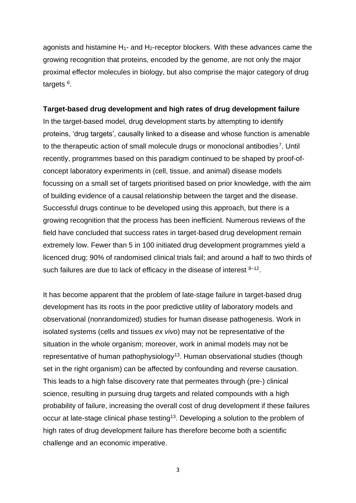agonists and histamine  $H_1$ - and  $H_2$ -receptor blockers. With these advances came the growing recognition that proteins, encoded by the genome, are not only the major proximal effector molecules in biology, but also comprise the major category of drug targets <sup>6</sup>.

#### **Target-based drug development and high rates of drug development failure**

In the target-based model, drug development starts by attempting to identify proteins, 'drug targets', causally linked to a disease and whose function is amenable to the therapeutic action of small molecule drugs or monoclonal antibodies<sup>7</sup>. Until recently, programmes based on this paradigm continued to be shaped by proof-ofconcept laboratory experiments in (cell, tissue, and animal) disease models focussing on a small set of targets prioritised based on prior knowledge, with the aim of building evidence of a causal relationship between the target and the disease. Successful drugs continue to be developed using this approach, but there is a growing recognition that the process has been inefficient. Numerous reviews of the field have concluded that success rates in target-based drug development remain extremely low. Fewer than 5 in 100 initiated drug development programmes yield a licenced drug; 90% of randomised clinical trials fail; and around a half to two thirds of such failures are due to lack of efficacy in the disease of interest  $8-12$ .

It has become apparent that the problem of late-stage failure in target-based drug development has its roots in the poor predictive utility of laboratory models and observational (nonrandomized) studies for human disease pathogenesis. Work in isolated systems (cells and tissues *ex vivo*) may not be representative of the situation in the whole organism; moreover, work in animal models may not be representative of human pathophysiology<sup>13</sup>. Human observational studies (though set in the right organism) can be affected by confounding and reverse causation. This leads to a high false discovery rate that permeates through (pre-) clinical science, resulting in pursuing drug targets and related compounds with a high probability of failure, increasing the overall cost of drug development if these failures occur at late-stage clinical phase testing<sup>13</sup>. Developing a solution to the problem of high rates of drug development failure has therefore become both a scientific challenge and an economic imperative.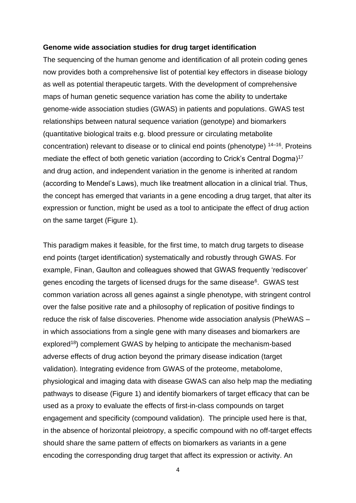#### **Genome wide association studies for drug target identification**

The sequencing of the human genome and identification of all protein coding genes now provides both a comprehensive list of potential key effectors in disease biology as well as potential therapeutic targets. With the development of comprehensive maps of human genetic sequence variation has come the ability to undertake genome-wide association studies (GWAS) in patients and populations. GWAS test relationships between natural sequence variation (genotype) and biomarkers (quantitative biological traits e.g. blood pressure or circulating metabolite concentration) relevant to disease or to clinical end points (phenotype) <sup>14–16</sup>. Proteins mediate the effect of both genetic variation (according to Crick's Central Dogma)<sup>17</sup> and drug action, and independent variation in the genome is inherited at random (according to Mendel's Laws), much like treatment allocation in a clinical trial. Thus, the concept has emerged that variants in a gene encoding a drug target, that alter its expression or function, might be used as a tool to anticipate the effect of drug action on the same target (Figure 1).

This paradigm makes it feasible, for the first time, to match drug targets to disease end points (target identification) systematically and robustly through GWAS. For example, Finan, Gaulton and colleagues showed that GWAS frequently 'rediscover' genes encoding the targets of licensed drugs for the same disease<sup>6</sup>. GWAS test common variation across all genes against a single phenotype, with stringent control over the false positive rate and a philosophy of replication of positive findings to reduce the risk of false discoveries. Phenome wide association analysis (PheWAS – in which associations from a single gene with many diseases and biomarkers are explored<sup>18</sup>) complement GWAS by helping to anticipate the mechanism-based adverse effects of drug action beyond the primary disease indication (target validation). Integrating evidence from GWAS of the proteome, metabolome, physiological and imaging data with disease GWAS can also help map the mediating pathways to disease (Figure 1) and identify biomarkers of target efficacy that can be used as a proxy to evaluate the effects of first-in-class compounds on target engagement and specificity (compound validation). The principle used here is that, in the absence of horizontal pleiotropy, a specific compound with no off-target effects should share the same pattern of effects on biomarkers as variants in a gene encoding the corresponding drug target that affect its expression or activity. An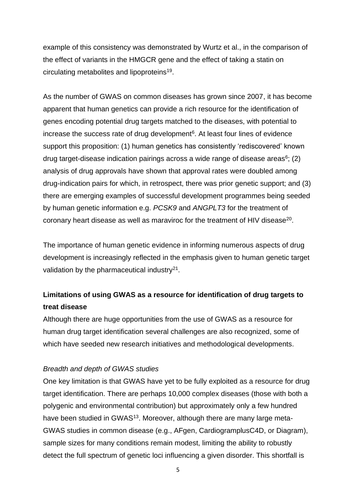example of this consistency was demonstrated by Wurtz et al., in the comparison of the effect of variants in the HMGCR gene and the effect of taking a statin on circulating metabolites and lipoproteins<sup>19</sup>.

As the number of GWAS on common diseases has grown since 2007, it has become apparent that human genetics can provide a rich resource for the identification of genes encoding potential drug targets matched to the diseases, with potential to increase the success rate of drug development $6$ . At least four lines of evidence support this proposition: (1) human genetics has consistently 'rediscovered' known drug target-disease indication pairings across a wide range of disease areas $6$ ; (2) analysis of drug approvals have shown that approval rates were doubled among drug-indication pairs for which, in retrospect, there was prior genetic support; and (3) there are emerging examples of successful development programmes being seeded by human genetic information e.g. *PCSK9* and *ANGPLT3* for the treatment of coronary heart disease as well as maraviroc for the treatment of HIV disease<sup>20</sup>.

The importance of human genetic evidence in informing numerous aspects of drug development is increasingly reflected in the emphasis given to human genetic target validation by the pharmaceutical industry $21$ .

# **Limitations of using GWAS as a resource for identification of drug targets to treat disease**

Although there are huge opportunities from the use of GWAS as a resource for human drug target identification several challenges are also recognized, some of which have seeded new research initiatives and methodological developments.

# *Breadth and depth of GWAS studies*

One key limitation is that GWAS have yet to be fully exploited as a resource for drug target identification. There are perhaps 10,000 complex diseases (those with both a polygenic and environmental contribution) but approximately only a few hundred have been studied in GWAS<sup>13</sup>. Moreover, although there are many large meta-GWAS studies in common disease (e.g., AFgen, CardiogramplusC4D, or Diagram), sample sizes for many conditions remain modest, limiting the ability to robustly detect the full spectrum of genetic loci influencing a given disorder. This shortfall is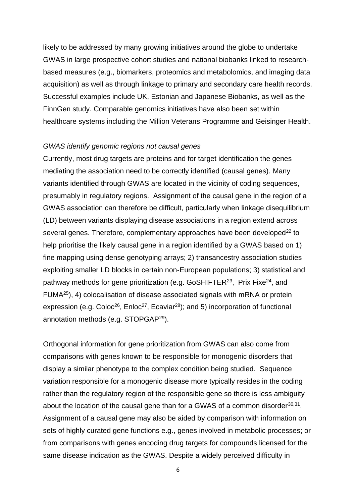likely to be addressed by many growing initiatives around the globe to undertake GWAS in large prospective cohort studies and national biobanks linked to researchbased measures (e.g., biomarkers, proteomics and metabolomics, and imaging data acquisition) as well as through linkage to primary and secondary care health records. Successful examples include UK, Estonian and Japanese Biobanks, as well as the FinnGen study. Comparable genomics initiatives have also been set within healthcare systems including the Million Veterans Programme and Geisinger Health.

#### *GWAS identify genomic regions not causal genes*

Currently, most drug targets are proteins and for target identification the genes mediating the association need to be correctly identified (causal genes). Many variants identified through GWAS are located in the vicinity of coding sequences, presumably in regulatory regions. Assignment of the causal gene in the region of a GWAS association can therefore be difficult, particularly when linkage disequilibrium (LD) between variants displaying disease associations in a region extend across several genes. Therefore, complementary approaches have been developed<sup>22</sup> to help prioritise the likely causal gene in a region identified by a GWAS based on 1) fine mapping using dense genotyping arrays; 2) transancestry association studies exploiting smaller LD blocks in certain non-European populations; 3) statistical and pathway methods for gene prioritization (e.g. GoSHIFTER<sup>23</sup>, Prix Fixe<sup>24</sup>, and FUMA<sup>25</sup>), 4) colocalisation of disease associated signals with mRNA or protein expression (e.g. Coloc<sup>26</sup>, Enloc<sup>27</sup>, Ecaviar<sup>28</sup>); and 5) incorporation of functional annotation methods (e.g. STOPGAP<sup>29</sup>).

Orthogonal information for gene prioritization from GWAS can also come from comparisons with genes known to be responsible for monogenic disorders that display a similar phenotype to the complex condition being studied. Sequence variation responsible for a monogenic disease more typically resides in the coding rather than the regulatory region of the responsible gene so there is less ambiguity about the location of the causal gene than for a GWAS of a common disorder $30,31$ . Assignment of a causal gene may also be aided by comparison with information on sets of highly curated gene functions e.g., genes involved in metabolic processes; or from comparisons with genes encoding drug targets for compounds licensed for the same disease indication as the GWAS. Despite a widely perceived difficulty in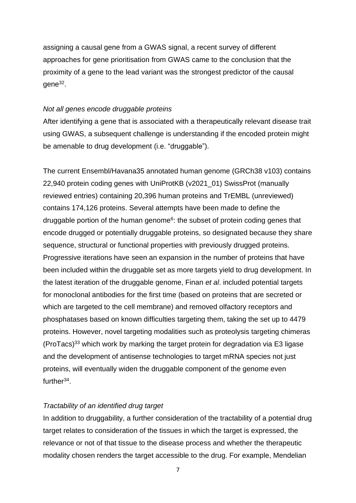assigning a causal gene from a GWAS signal, a recent survey of different approaches for gene prioritisation from GWAS came to the conclusion that the proximity of a gene to the lead variant was the strongest predictor of the causal gene<sup>32</sup>.

#### *Not all genes encode druggable proteins*

After identifying a gene that is associated with a therapeutically relevant disease trait using GWAS, a subsequent challenge is understanding if the encoded protein might be amenable to drug development (i.e. "druggable").

The current Ensembl/Havana35 annotated human genome (GRCh38 v103) contains 22,940 protein coding genes with UniProtKB (v2021\_01) SwissProt (manually reviewed entries) containing 20,396 human proteins and TrEMBL (unreviewed) contains 174,126 proteins. Several attempts have been made to define the druggable portion of the human genome<sup>6</sup>: the subset of protein coding genes that encode drugged or potentially druggable proteins, so designated because they share sequence, structural or functional properties with previously drugged proteins. Progressive iterations have seen an expansion in the number of proteins that have been included within the druggable set as more targets yield to drug development. In the latest iteration of the druggable genome, Finan *et al*. included potential targets for monoclonal antibodies for the first time (based on proteins that are secreted or which are targeted to the cell membrane) and removed olfactory receptors and phosphatases based on known difficulties targeting them, taking the set up to 4479 proteins. However, novel targeting modalities such as proteolysis targeting chimeras (ProTacs) <sup>33</sup> which work by marking the target protein for degradation via E3 ligase and the development of antisense technologies to target mRNA species not just proteins, will eventually widen the druggable component of the genome even further<sup>34</sup>.

### *Tractability of an identified drug target*

In addition to druggability, a further consideration of the tractability of a potential drug target relates to consideration of the tissues in which the target is expressed, the relevance or not of that tissue to the disease process and whether the therapeutic modality chosen renders the target accessible to the drug. For example, Mendelian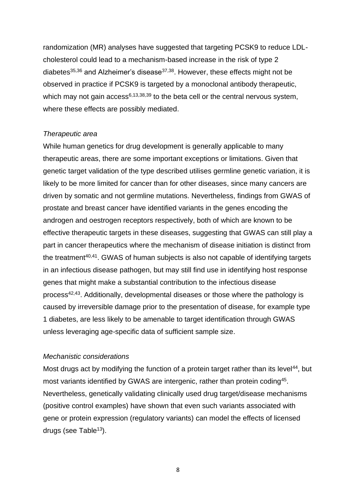randomization (MR) analyses have suggested that targeting PCSK9 to reduce LDLcholesterol could lead to a mechanism-based increase in the risk of type 2 diabetes $35,36$  and Alzheimer's disease $37,38$ . However, these effects might not be observed in practice if PCSK9 is targeted by a monoclonal antibody therapeutic, which may not gain access<sup>6,13,38,39</sup> to the beta cell or the central nervous system, where these effects are possibly mediated.

#### *Therapeutic area*

While human genetics for drug development is generally applicable to many therapeutic areas, there are some important exceptions or limitations. Given that genetic target validation of the type described utilises germline genetic variation, it is likely to be more limited for cancer than for other diseases, since many cancers are driven by somatic and not germline mutations. Nevertheless, findings from GWAS of prostate and breast cancer have identified variants in the genes encoding the androgen and oestrogen receptors respectively, both of which are known to be effective therapeutic targets in these diseases, suggesting that GWAS can still play a part in cancer therapeutics where the mechanism of disease initiation is distinct from the treatment<sup>40,41</sup>. GWAS of human subjects is also not capable of identifying targets in an infectious disease pathogen, but may still find use in identifying host response genes that might make a substantial contribution to the infectious disease process<sup>42,43</sup>. Additionally, developmental diseases or those where the pathology is caused by irreversible damage prior to the presentation of disease, for example type 1 diabetes, are less likely to be amenable to target identification through GWAS unless leveraging age-specific data of sufficient sample size.

#### *Mechanistic considerations*

Most drugs act by modifying the function of a protein target rather than its level<sup>44</sup>, but most variants identified by GWAS are intergenic, rather than protein coding<sup>45</sup>. Nevertheless, genetically validating clinically used drug target/disease mechanisms (positive control examples) have shown that even such variants associated with gene or protein expression (regulatory variants) can model the effects of licensed drugs (see Table $13$ ).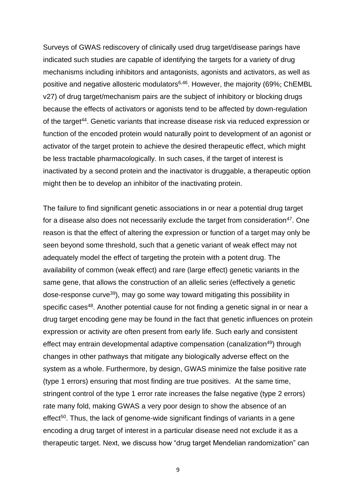Surveys of GWAS rediscovery of clinically used drug target/disease parings have indicated such studies are capable of identifying the targets for a variety of drug mechanisms including inhibitors and antagonists, agonists and activators, as well as positive and negative allosteric modulators<sup>6,46</sup>. However, the majority (69%; ChEMBL v27) of drug target/mechanism pairs are the subject of inhibitory or blocking drugs because the effects of activators or agonists tend to be affected by down-regulation of the target<sup>44</sup>. Genetic variants that increase disease risk via reduced expression or function of the encoded protein would naturally point to development of an agonist or activator of the target protein to achieve the desired therapeutic effect, which might be less tractable pharmacologically. In such cases, if the target of interest is inactivated by a second protein and the inactivator is druggable, a therapeutic option might then be to develop an inhibitor of the inactivating protein.

The failure to find significant genetic associations in or near a potential drug target for a disease also does not necessarily exclude the target from consideration<sup>47</sup>. One reason is that the effect of altering the expression or function of a target may only be seen beyond some threshold, such that a genetic variant of weak effect may not adequately model the effect of targeting the protein with a potent drug. The availability of common (weak effect) and rare (large effect) genetic variants in the same gene, that allows the construction of an allelic series (effectively a genetic dose-response curve<sup>39</sup>), may go some way toward mitigating this possibility in specific cases<sup>48</sup>. Another potential cause for not finding a genetic signal in or near a drug target encoding gene may be found in the fact that genetic influences on protein expression or activity are often present from early life. Such early and consistent effect may entrain developmental adaptive compensation (canalization<sup>49</sup>) through changes in other pathways that mitigate any biologically adverse effect on the system as a whole. Furthermore, by design, GWAS minimize the false positive rate (type 1 errors) ensuring that most finding are true positives. At the same time, stringent control of the type 1 error rate increases the false negative (type 2 errors) rate many fold, making GWAS a very poor design to show the absence of an effect<sup>50</sup>. Thus, the lack of genome-wide significant findings of variants in a gene encoding a drug target of interest in a particular disease need not exclude it as a therapeutic target. Next, we discuss how "drug target Mendelian randomization" can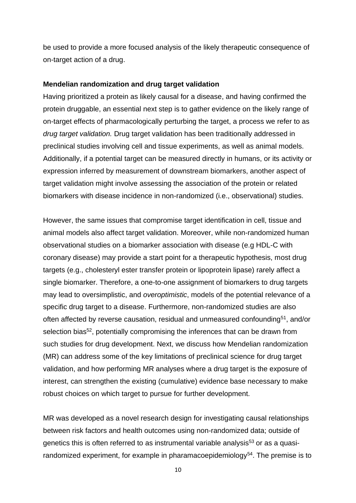be used to provide a more focused analysis of the likely therapeutic consequence of on-target action of a drug.

#### **Mendelian randomization and drug target validation**

Having prioritized a protein as likely causal for a disease, and having confirmed the protein druggable, an essential next step is to gather evidence on the likely range of on-target effects of pharmacologically perturbing the target, a process we refer to as *drug target validation.* Drug target validation has been traditionally addressed in preclinical studies involving cell and tissue experiments, as well as animal models. Additionally, if a potential target can be measured directly in humans, or its activity or expression inferred by measurement of downstream biomarkers, another aspect of target validation might involve assessing the association of the protein or related biomarkers with disease incidence in non-randomized (i.e., observational) studies.

However, the same issues that compromise target identification in cell, tissue and animal models also affect target validation. Moreover, while non-randomized human observational studies on a biomarker association with disease (e.g HDL-C with coronary disease) may provide a start point for a therapeutic hypothesis, most drug targets (e.g., cholesteryl ester transfer protein or lipoprotein lipase) rarely affect a single biomarker. Therefore, a one-to-one assignment of biomarkers to drug targets may lead to oversimplistic, and *overoptimistic*, models of the potential relevance of a specific drug target to a disease. Furthermore, non-randomized studies are also often affected by reverse causation, residual and unmeasured confounding<sup>51</sup>, and/or selection bias<sup>52</sup>, potentially compromising the inferences that can be drawn from such studies for drug development. Next, we discuss how Mendelian randomization (MR) can address some of the key limitations of preclinical science for drug target validation, and how performing MR analyses where a drug target is the exposure of interest, can strengthen the existing (cumulative) evidence base necessary to make robust choices on which target to pursue for further development.

MR was developed as a novel research design for investigating causal relationships between risk factors and health outcomes using non-randomized data; outside of genetics this is often referred to as instrumental variable analysis<sup>53</sup> or as a quasirandomized experiment, for example in pharamacoepidemiology<sup>54</sup>. The premise is to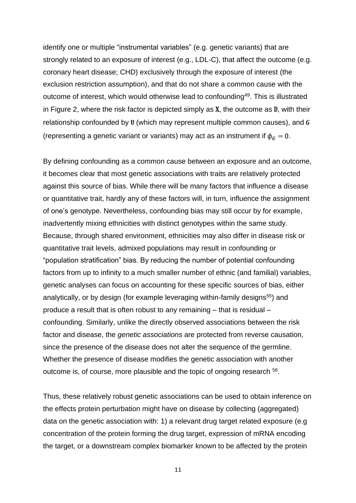identify one or multiple "instrumental variables" (e.g. genetic variants) that are strongly related to an exposure of interest (e.g., LDL-C), that affect the outcome (e.g. coronary heart disease; CHD) exclusively through the exposure of interest (the exclusion restriction assumption), and that do not share a common cause with the outcome of interest, which would otherwise lead to confounding<sup>49</sup>. This is illustrated in Figure 2, where the risk factor is depicted simply as  $X$ , the outcome as  $D$ , with their relationship confounded by  $U$  (which may represent multiple common causes), and  $G$ (representing a genetic variant or variants) may act as an instrument if  $\phi_G = 0$ .

By defining confounding as a common cause between an exposure and an outcome, it becomes clear that most genetic associations with traits are relatively protected against this source of bias. While there will be many factors that influence a disease or quantitative trait, hardly any of these factors will, in turn, influence the assignment of one's genotype. Nevertheless, confounding bias may still occur by for example, inadvertently mixing ethnicities with distinct genotypes within the same study. Because, through shared environment, ethnicities may also differ in disease risk or quantitative trait levels, admixed populations may result in confounding or "population stratification" bias. By reducing the number of potential confounding factors from up to infinity to a much smaller number of ethnic (and familial) variables, genetic analyses can focus on accounting for these specific sources of bias, either analytically, or by design (for example leveraging within-family designs<sup>55</sup>) and produce a result that is often robust to any remaining – that is residual – confounding. Similarly, unlike the directly observed associations between the risk factor and disease, the *genetic associations* are protected from reverse causation, since the presence of the disease does not alter the sequence of the germline. Whether the presence of disease modifies the genetic association with another outcome is, of course, more plausible and the topic of ongoing research <sup>56</sup>.

Thus, these relatively robust genetic associations can be used to obtain inference on the effects protein perturbation might have on disease by collecting (aggregated) data on the genetic association with: 1) a relevant drug target related exposure (e.g concentration of the protein forming the drug target, expression of mRNA encoding the target, or a downstream complex biomarker known to be affected by the protein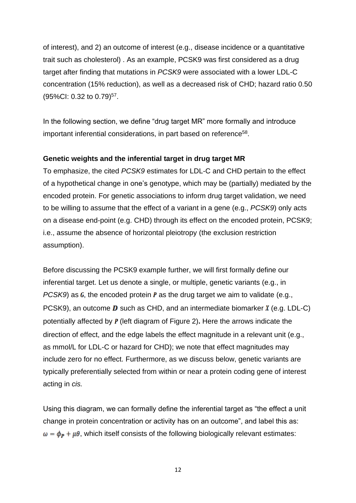of interest), and 2) an outcome of interest (e.g., disease incidence or a quantitative trait such as cholesterol) . As an example, PCSK9 was first considered as a drug target after finding that mutations in *PCSK9* were associated with a lower LDL-C concentration (15% reduction), as well as a decreased risk of CHD; hazard ratio 0.50 (95%Cl: 0.32 to 0.79)<sup>57</sup>.

In the following section, we define "drug target MR" more formally and introduce important inferential considerations, in part based on reference<sup>58</sup>.

# **Genetic weights and the inferential target in drug target MR**

To emphasize, the cited *PCSK9* estimates for LDL-C and CHD pertain to the effect of a hypothetical change in one's genotype, which may be (partially) mediated by the encoded protein. For genetic associations to inform drug target validation, we need to be willing to assume that the effect of a variant in a gene (e.g., *PCSK9*) only acts on a disease end-point (e.g. CHD) through its effect on the encoded protein, PCSK9; i.e., assume the absence of horizontal pleiotropy (the exclusion restriction assumption).

Before discussing the PCSK9 example further, we will first formally define our inferential target. Let us denote a single, or multiple, genetic variants (e.g., in *PCSK9*) as  $\mathbf{G}$ , the encoded protein  $\mathbf{P}$  as the drug target we aim to validate (e.g., PCSK9), an outcome **D** such as CHD, and an intermediate biomarker  $\chi$  (e.g. LDL-C) potentially affected by  $P$  (left diagram of Figure 2). Here the arrows indicate the direction of effect, and the edge labels the effect magnitude in a relevant unit (e.g., as mmol/L for LDL-C or hazard for CHD); we note that effect magnitudes may include zero for no effect. Furthermore, as we discuss below, genetic variants are typically preferentially selected from within or near a protein coding gene of interest acting in *cis.*

Using this diagram, we can formally define the inferential target as "the effect a unit change in protein concentration or activity has on an outcome", and label this as:  $\omega = \phi_P + \mu \theta$ , which itself consists of the following biologically relevant estimates: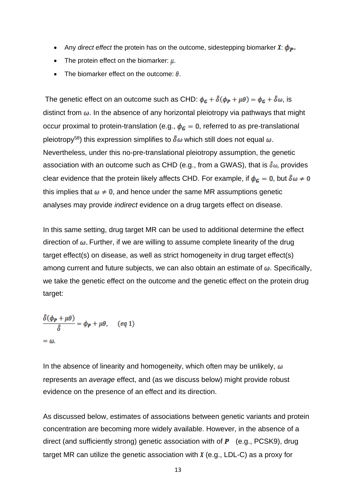- Any *direct effect* the protein has on the outcome, sidestepping biomarker  $X: \phi_{\mathbf{P}}$ .
- The protein effect on the biomarker:  $\mu$ .
- The biomarker effect on the outcome:  $\theta$ .

The genetic effect on an outcome such as CHD:  $\phi_G + \tilde{\delta}(\phi_P + \mu \theta) = \phi_G + \tilde{\delta}\omega$ , is distinct from  $\omega$ . In the absence of any horizontal pleiotropy via pathways that might occur proximal to protein-translation (e.g.,  $\phi_G = 0$ , referred to as pre-translational pleiotropy<sup>58</sup>) this expression simplifies to  $\delta \omega$  which still does not equal  $\omega$ . Nevertheless, under this no-pre-translational pleiotropy assumption, the genetic association with an outcome such as CHD (e.g., from a GWAS), that is  $\delta\omega$ , provides clear evidence that the protein likely affects CHD. For example, if  $\phi_G = 0$ , but  $\delta \omega \neq 0$ this implies that  $\omega \neq 0$ , and hence under the same MR assumptions genetic analyses may provide *indirect* evidence on a drug targets effect on disease.

In this same setting, drug target MR can be used to additional determine the effect direction of  $\omega$ . Further, if we are willing to assume complete linearity of the drug target effect(s) on disease, as well as strict homogeneity in drug target effect(s) among current and future subjects, we can also obtain an estimate of  $\omega$ . Specifically, we take the genetic effect on the outcome and the genetic effect on the protein drug target:

$$
\frac{\delta(\phi_{\mathbf{P}} + \mu \theta)}{\delta} = \phi_{\mathbf{P}} + \mu \theta, \quad (eq \ 1)
$$

$$
= \omega.
$$

In the absence of linearity and homogeneity, which often may be unlikely,  $\omega$ represents an *average* effect, and (as we discuss below) might provide robust evidence on the presence of an effect and its direction.

As discussed below, estimates of associations between genetic variants and protein concentration are becoming more widely available. However, in the absence of a direct (and sufficiently strong) genetic association with of  $P$  (e.g., PCSK9), drug target MR can utilize the genetic association with  $\chi$  (e.g., LDL-C) as a proxy for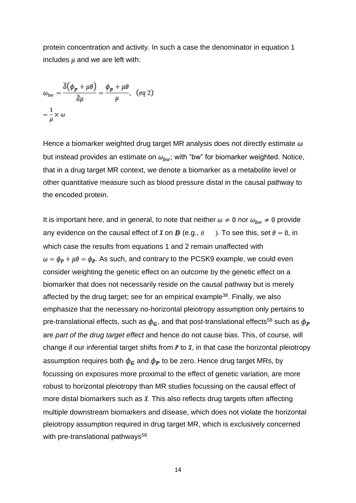protein concentration and activity. In such a case the denominator in equation 1 includes  $\mu$  and we are left with:

$$
\omega_{bw} = \frac{\tilde{\delta}(\phi_{\mathbf{p}} + \mu \theta)}{\tilde{\delta}\mu} = \frac{\phi_{\mathbf{p}} + \mu \theta}{\mu}, \quad (eq\ 2)
$$

$$
= \frac{1}{\mu} \times \omega
$$

Hence a biomarker weighted drug target MR analysis does not directly estimate  $\omega$ but instead provides an estimate on  $\omega_{hw}$ ; with "bw" for biomarker weighted. Notice, that in a drug target MR context, we denote a biomarker as a metabolite level or other quantitative measure such as blood pressure distal in the causal pathway to the encoded protein.

It is important here, and in general, to note that neither  $\omega \neq 0$  nor  $\omega_{bw} \neq 0$  provide any evidence on the causal effect of X on **D** (e.g.,  $\theta$ ). To see this, set  $\theta = 0$ , in which case the results from equations 1 and 2 remain unaffected with  $\omega = \phi_P + \mu \theta = \phi_P$ . As such, and contrary to the PCSK9 example, we could even consider weighting the genetic effect on an outcome by the genetic effect on a biomarker that does not necessarily reside on the causal pathway but is merely affected by the drug target; see for an empirical example<sup>38</sup>. Finally, we also emphasize that the necessary no-horizontal pleiotropy assumption only pertains to pre-translational effects, such as  $\phi_G$ , and that post-translational effects<sup>58</sup> such as  $\phi_P$ are *part of the drug target effect* and hence do not cause bias. This, of course, will change if our inferential target shifts from  $P$  to  $X$ , in that case the horizontal pleiotropy assumption requires both  $\phi_G$  and  $\phi_P$  to be zero. Hence drug target MRs, by focussing on exposures more proximal to the effect of genetic variation, are more robust to horizontal pleiotropy than MR studies focussing on the causal effect of more distal biomarkers such as  $X$ . This also reflects drug targets often affecting multiple downstream biomarkers and disease, which does not violate the horizontal pleiotropy assumption required in drug target MR, which is exclusively concerned with pre-translational pathways<sup>58</sup>.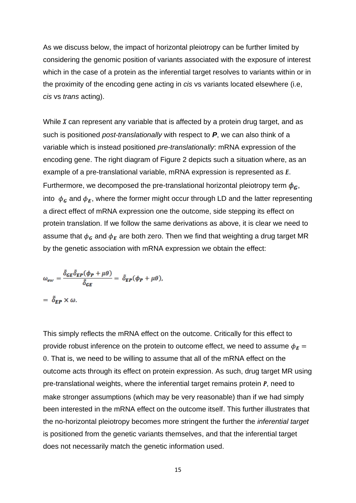As we discuss below, the impact of horizontal pleiotropy can be further limited by considering the genomic position of variants associated with the exposure of interest which in the case of a protein as the inferential target resolves to variants within or in the proximity of the encoding gene acting in *cis* vs variants located elsewhere (i.e, *cis* vs *trans* acting).

While  $\chi$  can represent any variable that is affected by a protein drug target, and as such is positioned *post-translationally* with respect to *P*, we can also think of a variable which is instead positioned *pre-translationally*: mRNA expression of the encoding gene. The right diagram of Figure 2 depicts such a situation where, as an example of a pre-translational variable, mRNA expression is represented as  $E$ . Furthermore, we decomposed the pre-translational horizontal pleiotropy term  $\phi_G$ , into  $\phi_G$  and  $\phi_E$ , where the former might occur through LD and the latter representing a direct effect of mRNA expression one the outcome, side stepping its effect on protein translation. If we follow the same derivations as above, it is clear we need to assume that  $\phi_G$  and  $\phi_E$  are both zero. Then we find that weighting a drug target MR by the genetic association with mRNA expression we obtain the effect:

$$
\omega_{ew} = \frac{\tilde{\delta}_{GE}\tilde{\delta}_{EP}(\phi_{P} + \mu\theta)}{\tilde{\delta}_{GE}} = \tilde{\delta}_{EP}(\phi_{P} + \mu\theta),
$$

$$
= \tilde{\delta}_{EP} \times \omega.
$$

This simply reflects the mRNA effect on the outcome. Critically for this effect to provide robust inference on the protein to outcome effect, we need to assume  $\phi_F =$ 0. That is, we need to be willing to assume that all of the mRNA effect on the outcome acts through its effect on protein expression. As such, drug target MR using pre-translational weights, where the inferential target remains protein *, need to* make stronger assumptions (which may be very reasonable) than if we had simply been interested in the mRNA effect on the outcome itself. This further illustrates that the no-horizontal pleiotropy becomes more stringent the further the *inferential target* is positioned from the genetic variants themselves, and that the inferential target does not necessarily match the genetic information used.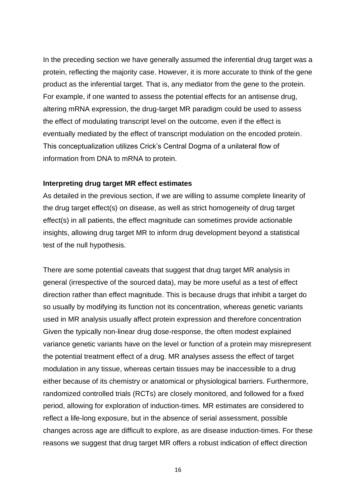In the preceding section we have generally assumed the inferential drug target was a protein, reflecting the majority case. However, it is more accurate to think of the gene product as the inferential target. That is, any mediator from the gene to the protein. For example, if one wanted to assess the potential effects for an antisense drug, altering mRNA expression, the drug-target MR paradigm could be used to assess the effect of modulating transcript level on the outcome, even if the effect is eventually mediated by the effect of transcript modulation on the encoded protein. This conceptualization utilizes Crick's Central Dogma of a unilateral flow of information from DNA to mRNA to protein.

#### **Interpreting drug target MR effect estimates**

As detailed in the previous section, if we are willing to assume complete linearity of the drug target effect(s) on disease, as well as strict homogeneity of drug target effect(s) in all patients, the effect magnitude can sometimes provide actionable insights, allowing drug target MR to inform drug development beyond a statistical test of the null hypothesis.

There are some potential caveats that suggest that drug target MR analysis in general (irrespective of the sourced data), may be more useful as a test of effect direction rather than effect magnitude. This is because drugs that inhibit a target do so usually by modifying its function not its concentration, whereas genetic variants used in MR analysis usually affect protein expression and therefore concentration Given the typically non-linear drug dose-response, the often modest explained variance genetic variants have on the level or function of a protein may misrepresent the potential treatment effect of a drug. MR analyses assess the effect of target modulation in any tissue, whereas certain tissues may be inaccessible to a drug either because of its chemistry or anatomical or physiological barriers. Furthermore, randomized controlled trials (RCTs) are closely monitored, and followed for a fixed period, allowing for exploration of induction-times. MR estimates are considered to reflect a life-long exposure, but in the absence of serial assessment, possible changes across age are difficult to explore, as are disease induction-times. For these reasons we suggest that drug target MR offers a robust indication of effect direction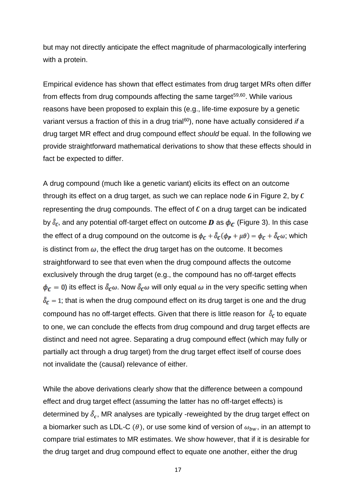but may not directly anticipate the effect magnitude of pharmacologically interfering with a protein.

Empirical evidence has shown that effect estimates from drug target MRs often differ from effects from drug compounds affecting the same target<sup>59,60</sup>. While various reasons have been proposed to explain this (e.g., life-time exposure by a genetic variant versus a fraction of this in a drug trial<sup>60</sup>), none have actually considered *if* a drug target MR effect and drug compound effect *should* be equal. In the following we provide straightforward mathematical derivations to show that these effects should in fact be expected to differ.

A drug compound (much like a genetic variant) elicits its effect on an outcome through its effect on a drug target, as such we can replace node  $\boldsymbol{G}$  in Figure 2, by  $\boldsymbol{C}$ representing the drug compounds. The effect of  $\mathfrak c$  on a drug target can be indicated by  $\delta_c$ , and any potential off-target effect on outcome **D** as  $\phi_c$  (Figure 3). In this case the effect of a drug compound on the outcome is  $\phi_c + \tilde{\delta}_c(\phi_P + \mu\theta) = \phi_c + \tilde{\delta}_c\omega$ ; which is distinct from  $\omega$ , the effect the drug target has on the outcome. It becomes straightforward to see that even when the drug compound affects the outcome exclusively through the drug target (e.g., the compound has no off-target effects  $\phi_c = 0$ ) its effect is  $\delta_c \omega$ . Now  $\delta_c \omega$  will only equal  $\omega$  in the very specific setting when  $\tilde{\delta}_{c}$  = 1; that is when the drug compound effect on its drug target is one and the drug compound has no off-target effects. Given that there is little reason for  $\tilde{\delta}_c$  to equate to one, we can conclude the effects from drug compound and drug target effects are distinct and need not agree. Separating a drug compound effect (which may fully or partially act through a drug target) from the drug target effect itself of course does not invalidate the (causal) relevance of either.

While the above derivations clearly show that the difference between a compound effect and drug target effect (assuming the latter has no off-target effects) is determined by  $\tilde{\delta}_{c}$ , MR analyses are typically -reweighted by the drug target effect on a biomarker such as LDL-C ( $\theta$ ), or use some kind of version of  $\omega_{bw}$ , in an attempt to compare trial estimates to MR estimates. We show however, that if it is desirable for the drug target and drug compound effect to equate one another, either the drug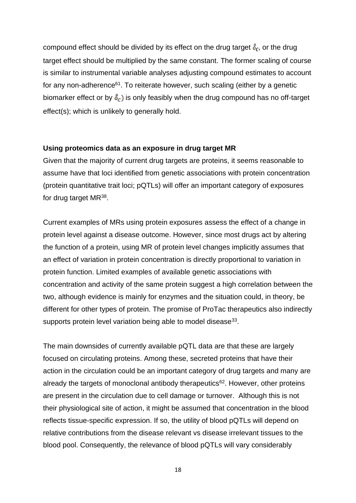compound effect should be divided by its effect on the drug target  $\delta_c$ , or the drug target effect should be multiplied by the same constant. The former scaling of course is similar to instrumental variable analyses adjusting compound estimates to account for any non-adherence $61$ . To reiterate however, such scaling (either by a genetic biomarker effect or by  $\tilde{\delta}_c$ ) is only feasibly when the drug compound has no off-target effect(s); which is unlikely to generally hold.

### **Using proteomics data as an exposure in drug target MR**

Given that the majority of current drug targets are proteins, it seems reasonable to assume have that loci identified from genetic associations with protein concentration (protein quantitative trait loci; pQTLs) will offer an important category of exposures for drug target MR<sup>38</sup>.

Current examples of MRs using protein exposures assess the effect of a change in protein level against a disease outcome. However, since most drugs act by altering the function of a protein, using MR of protein level changes implicitly assumes that an effect of variation in protein concentration is directly proportional to variation in protein function. Limited examples of available genetic associations with concentration and activity of the same protein suggest a high correlation between the two, although evidence is mainly for enzymes and the situation could, in theory, be different for other types of protein. The promise of ProTac therapeutics also indirectly supports protein level variation being able to model disease $33$ .

The main downsides of currently available pQTL data are that these are largely focused on circulating proteins. Among these, secreted proteins that have their action in the circulation could be an important category of drug targets and many are already the targets of monoclonal antibody therapeutics<sup>62</sup>. However, other proteins are present in the circulation due to cell damage or turnover. Although this is not their physiological site of action, it might be assumed that concentration in the blood reflects tissue-specific expression. If so, the utility of blood pQTLs will depend on relative contributions from the disease relevant vs disease irrelevant tissues to the blood pool. Consequently, the relevance of blood pQTLs will vary considerably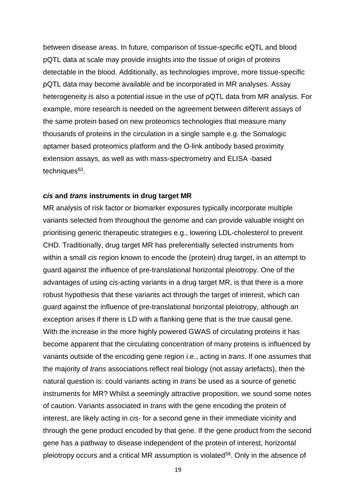between disease areas. In future, comparison of tissue-specific eQTL and blood pQTL data at scale may provide insights into the tissue of origin of proteins detectable in the blood. Additionally, as technologies improve, more tissue-specific pQTL data may become available and be incorporated in MR analyses. Assay heterogeneity is also a potential issue in the use of pQTL data from MR analysis. For example, more research is needed on the agreement between different assays of the same protein based on new proteomics technologies that measure many thousands of proteins in the circulation in a single sample e.g. the Somalogic aptamer based proteomics platform and the O-link antibody based proximity extension assays, as well as with mass-spectrometry and ELISA -based techniques<sup>63</sup>.

#### *cis* **and** *trans* **instruments in drug target MR**

MR analysis of risk factor or biomarker exposures typically incorporate multiple variants selected from throughout the genome and can provide valuable insight on prioritising generic therapeutic strategies e.g., lowering LDL-cholesterol to prevent CHD. Traditionally, drug target MR has preferentially selected instruments from within a small *cis* region known to encode the (protein) drug target, in an attempt to guard against the influence of pre-translational horizontal pleiotropy. One of the advantages of using *cis*-acting variants in a drug target MR, is that there is a more robust hypothesis that these variants act through the target of interest, which can guard against the influence of pre-translational horizontal pleiotropy, although an exception arises if there is LD with a flanking gene that is the true causal gene. With the increase in the more highly powered GWAS of circulating proteins it has become apparent that the circulating concentration of many proteins is influenced by variants outside of the encoding gene region i.e., acting in *trans*. If one assumes that the majority of *trans* associations reflect real biology (not assay artefacts), then the natural question is: could variants acting in *trans* be used as a source of genetic instruments for MR? Whilst a seemingly attractive proposition, we sound some notes of caution. Variants associated in *trans* with the gene encoding the protein of interest, are likely acting in *cis*- for a second gene in their immediate vicinity and through the gene product encoded by that gene. If the gene product from the second gene has a pathway to disease independent of the protein of interest, horizontal pleiotropy occurs and a critical MR assumption is violated<sup>58</sup>. Only in the absence of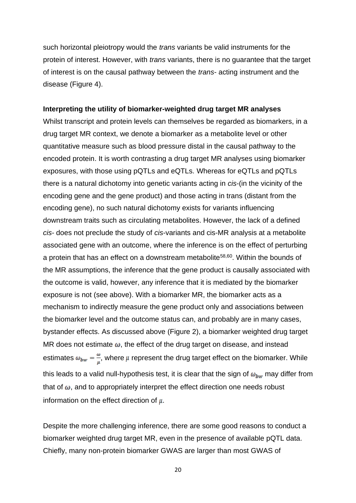such horizontal pleiotropy would the *trans* variants be valid instruments for the protein of interest. However, with *trans* variants, there is no guarantee that the target of interest is on the causal pathway between the *trans*- acting instrument and the disease (Figure 4).

#### **Interpreting the utility of biomarker-weighted drug target MR analyses**

Whilst transcript and protein levels can themselves be regarded as biomarkers, in a drug target MR context, we denote a biomarker as a metabolite level or other quantitative measure such as blood pressure distal in the causal pathway to the encoded protein. It is worth contrasting a drug target MR analyses using biomarker exposures, with those using pQTLs and eQTLs. Whereas for eQTLs and pQTLs there is a natural dichotomy into genetic variants acting in *cis*-(in the vicinity of the encoding gene and the gene product) and those acting in trans (distant from the encoding gene), no such natural dichotomy exists for variants influencing downstream traits such as circulating metabolites. However, the lack of a defined *cis-* does not preclude the study of *cis*-variants and cis-MR analysis at a metabolite associated gene with an outcome, where the inference is on the effect of perturbing a protein that has an effect on a downstream metabolite<sup>58,60</sup>. Within the bounds of the MR assumptions, the inference that the gene product is causally associated with the outcome is valid, however, any inference that it is mediated by the biomarker exposure is not (see above). With a biomarker MR, the biomarker acts as a mechanism to indirectly measure the gene product only and associations between the biomarker level and the outcome status can, and probably are in many cases, bystander effects. As discussed above (Figure 2), a biomarker weighted drug target MR does not estimate  $\omega$ , the effect of the drug target on disease, and instead estimates  $\omega_{bw} = \frac{\omega}{\mu}$ , where  $\mu$  represent the drug target effect on the biomarker. While this leads to a valid null-hypothesis test, it is clear that the sign of  $\omega_{bw}$  may differ from that of  $\omega$ , and to appropriately interpret the effect direction one needs robust information on the effect direction of  $\mu$ .

Despite the more challenging inference, there are some good reasons to conduct a biomarker weighted drug target MR, even in the presence of available pQTL data. Chiefly, many non-protein biomarker GWAS are larger than most GWAS of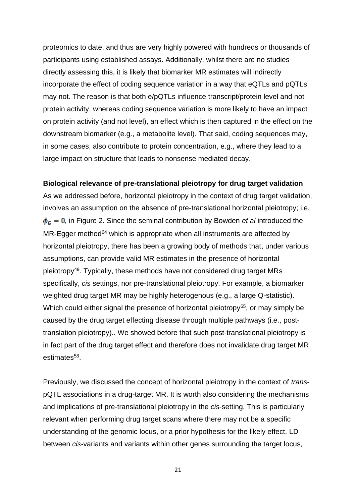proteomics to date, and thus are very highly powered with hundreds or thousands of participants using established assays. Additionally, whilst there are no studies directly assessing this, it is likely that biomarker MR estimates will indirectly incorporate the effect of coding sequence variation in a way that eQTLs and pQTLs may not. The reason is that both e/pQTLs influence transcript/protein level and not protein activity, whereas coding sequence variation is more likely to have an impact on protein activity (and not level), an effect which is then captured in the effect on the downstream biomarker (e.g., a metabolite level). That said, coding sequences may, in some cases, also contribute to protein concentration, e.g., where they lead to a large impact on structure that leads to nonsense mediated decay.

#### **Biological relevance of pre-translational pleiotropy for drug target validation**

As we addressed before, horizontal pleiotropy in the context of drug target validation, involves an assumption on the absence of pre-translational horizontal pleiotropy; i.e,  $\phi_c = 0$ , in Figure 2. Since the seminal contribution by Bowden *et al* introduced the  $MR$ -Egger method<sup>64</sup> which is appropriate when all instruments are affected by horizontal pleiotropy, there has been a growing body of methods that, under various assumptions, can provide valid MR estimates in the presence of horizontal pleiotropy<sup>49</sup>. Typically, these methods have not considered drug target MRs specifically, *cis* settings, nor pre-translational pleiotropy. For example, a biomarker weighted drug target MR may be highly heterogenous (e.g., a large Q-statistic). Which could either signal the presence of horizontal pleiotropy $65$ , or may simply be caused by the drug target effecting disease through multiple pathways (i.e., posttranslation pleiotropy).. We showed before that such post-translational pleiotropy is in fact part of the drug target effect and therefore does not invalidate drug target MR estimates<sup>58</sup>.

Previously, we discussed the concept of horizontal pleiotropy in the context of *trans*pQTL associations in a drug-target MR. It is worth also considering the mechanisms and implications of pre-translational pleiotropy in the *cis*-setting. This is particularly relevant when performing drug target scans where there may not be a specific understanding of the genomic locus, or a prior hypothesis for the likely effect. LD between *cis-*variants and variants within other genes surrounding the target locus,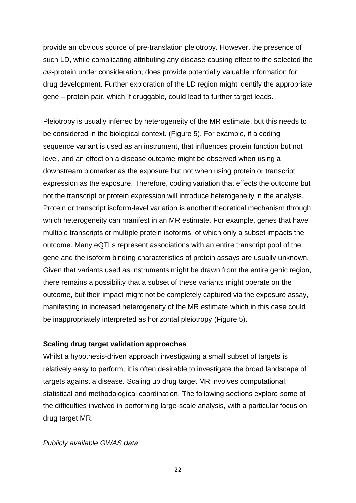provide an obvious source of pre-translation pleiotropy. However, the presence of such LD, while complicating attributing any disease-causing effect to the selected the *cis*-protein under consideration, does provide potentially valuable information for drug development. Further exploration of the LD region might identify the appropriate gene – protein pair, which if druggable, could lead to further target leads.

Pleiotropy is usually inferred by heterogeneity of the MR estimate, but this needs to be considered in the biological context. (Figure 5). For example, if a coding sequence variant is used as an instrument, that influences protein function but not level, and an effect on a disease outcome might be observed when using a downstream biomarker as the exposure but not when using protein or transcript expression as the exposure. Therefore, coding variation that effects the outcome but not the transcript or protein expression will introduce heterogeneity in the analysis. Protein or transcript isoform-level variation is another theoretical mechanism through which heterogeneity can manifest in an MR estimate. For example, genes that have multiple transcripts or multiple protein isoforms, of which only a subset impacts the outcome. Many eQTLs represent associations with an entire transcript pool of the gene and the isoform binding characteristics of protein assays are usually unknown. Given that variants used as instruments might be drawn from the entire genic region, there remains a possibility that a subset of these variants might operate on the outcome, but their impact might not be completely captured via the exposure assay, manifesting in increased heterogeneity of the MR estimate which in this case could be inappropriately interpreted as horizontal pleiotropy (Figure 5).

# **Scaling drug target validation approaches**

Whilst a hypothesis-driven approach investigating a small subset of targets is relatively easy to perform, it is often desirable to investigate the broad landscape of targets against a disease. Scaling up drug target MR involves computational, statistical and methodological coordination. The following sections explore some of the difficulties involved in performing large-scale analysis, with a particular focus on drug target MR.

### *Publicly available GWAS data*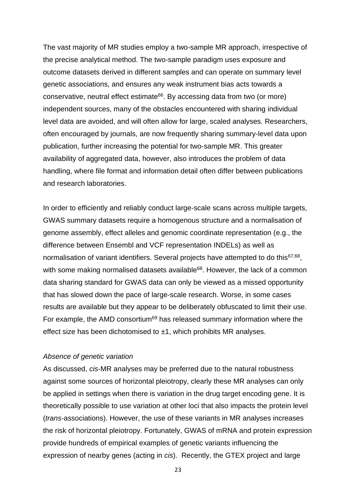The vast majority of MR studies employ a two-sample MR approach, irrespective of the precise analytical method. The two-sample paradigm uses exposure and outcome datasets derived in different samples and can operate on summary level genetic associations, and ensures any weak instrument bias acts towards a conservative, neutral effect estimate<sup>66</sup>. By accessing data from two (or more) independent sources, many of the obstacles encountered with sharing individual level data are avoided, and will often allow for large, scaled analyses. Researchers, often encouraged by journals, are now frequently sharing summary-level data upon publication, further increasing the potential for two-sample MR. This greater availability of aggregated data, however, also introduces the problem of data handling, where file format and information detail often differ between publications and research laboratories.

In order to efficiently and reliably conduct large-scale scans across multiple targets, GWAS summary datasets require a homogenous structure and a normalisation of genome assembly, effect alleles and genomic coordinate representation (e.g., the difference between Ensembl and VCF representation INDELs) as well as normalisation of variant identifiers. Several projects have attempted to do this<sup>67,68</sup>, with some making normalised datasets available<sup>68</sup>. However, the lack of a common data sharing standard for GWAS data can only be viewed as a missed opportunity that has slowed down the pace of large-scale research. Worse, in some cases results are available but they appear to be deliberately obfuscated to limit their use. For example, the AMD consortium<sup>69</sup> has released summary information where the effect size has been dichotomised to  $\pm 1$ , which prohibits MR analyses.

#### *Absence of genetic variation*

As discussed, *cis*-MR analyses may be preferred due to the natural robustness against some sources of horizontal pleiotropy, clearly these MR analyses can only be applied in settings when there is variation in the drug target encoding gene. It is theoretically possible to use variation at other loci that also impacts the protein level (*trans*-associations). However, the use of these variants in MR analyses increases the risk of horizontal pleiotropy. Fortunately, GWAS of mRNA and protein expression provide hundreds of empirical examples of genetic variants influencing the expression of nearby genes (acting in *cis*). Recently, the GTEX project and large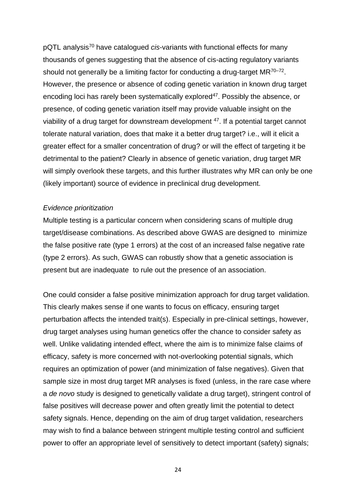pQTL analysis<sup>70</sup> have catalogued *cis*-variants with functional effects for many thousands of genes suggesting that the absence of cis-acting regulatory variants should not generally be a limiting factor for conducting a drug-target  $MR^{70-72}$ . However, the presence or absence of coding genetic variation in known drug target encoding loci has rarely been systematically explored<sup>47</sup>. Possibly the absence, or presence, of coding genetic variation itself may provide valuable insight on the viability of a drug target for downstream development  $47$ . If a potential target cannot tolerate natural variation, does that make it a better drug target? i.e., will it elicit a greater effect for a smaller concentration of drug? or will the effect of targeting it be detrimental to the patient? Clearly in absence of genetic variation, drug target MR will simply overlook these targets, and this further illustrates why MR can only be one (likely important) source of evidence in preclinical drug development.

#### *Evidence prioritization*

Multiple testing is a particular concern when considering scans of multiple drug target/disease combinations. As described above GWAS are designed to minimize the false positive rate (type 1 errors) at the cost of an increased false negative rate (type 2 errors). As such, GWAS can robustly show that a genetic association is present but are inadequate to rule out the presence of an association.

One could consider a false positive minimization approach for drug target validation. This clearly makes sense if one wants to focus on efficacy, ensuring target perturbation affects the intended trait(s). Especially in pre-clinical settings, however, drug target analyses using human genetics offer the chance to consider safety as well. Unlike validating intended effect, where the aim is to minimize false claims of efficacy, safety is more concerned with not-overlooking potential signals, which requires an optimization of power (and minimization of false negatives). Given that sample size in most drug target MR analyses is fixed (unless, in the rare case where a *de novo* study is designed to genetically validate a drug target), stringent control of false positives will decrease power and often greatly limit the potential to detect safety signals. Hence, depending on the aim of drug target validation, researchers may wish to find a balance between stringent multiple testing control and sufficient power to offer an appropriate level of sensitively to detect important (safety) signals;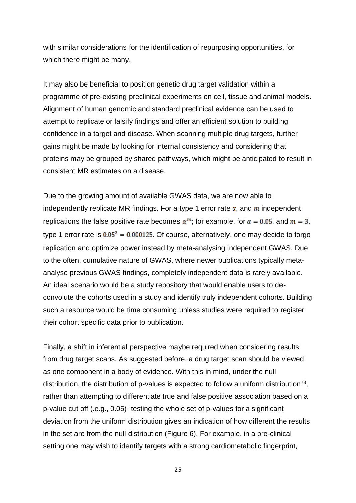with similar considerations for the identification of repurposing opportunities, for which there might be many.

It may also be beneficial to position genetic drug target validation within a programme of pre-existing preclinical experiments on cell, tissue and animal models. Alignment of human genomic and standard preclinical evidence can be used to attempt to replicate or falsify findings and offer an efficient solution to building confidence in a target and disease. When scanning multiple drug targets, further gains might be made by looking for internal consistency and considering that proteins may be grouped by shared pathways, which might be anticipated to result in consistent MR estimates on a disease.

Due to the growing amount of available GWAS data, we are now able to independently replicate MR findings. For a type 1 error rate  $\alpha$ , and  $m$  independent replications the false positive rate becomes  $\alpha^m$ ; for example, for  $\alpha = 0.05$ , and  $m = 3$ , type 1 error rate is  $0.05^3 = 0.000125$ . Of course, alternatively, one may decide to forgo replication and optimize power instead by meta-analysing independent GWAS. Due to the often, cumulative nature of GWAS, where newer publications typically metaanalyse previous GWAS findings, completely independent data is rarely available. An ideal scenario would be a study repository that would enable users to deconvolute the cohorts used in a study and identify truly independent cohorts. Building such a resource would be time consuming unless studies were required to register their cohort specific data prior to publication.

Finally, a shift in inferential perspective maybe required when considering results from drug target scans. As suggested before, a drug target scan should be viewed as one component in a body of evidence. With this in mind, under the null distribution, the distribution of p-values is expected to follow a uniform distribution<sup>73</sup>, rather than attempting to differentiate true and false positive association based on a p-value cut off (.e.g., 0.05), testing the whole set of p-values for a significant deviation from the uniform distribution gives an indication of how different the results in the set are from the null distribution (Figure 6). For example, in a pre-clinical setting one may wish to identify targets with a strong cardiometabolic fingerprint,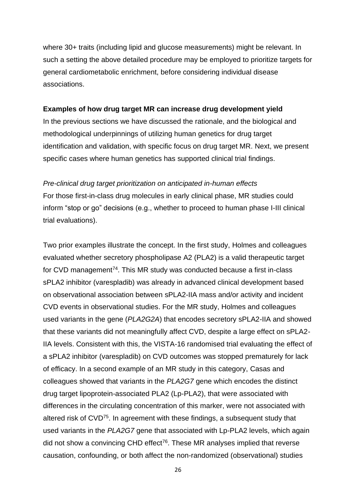where 30+ traits (including lipid and glucose measurements) might be relevant. In such a setting the above detailed procedure may be employed to prioritize targets for general cardiometabolic enrichment, before considering individual disease associations.

#### **Examples of how drug target MR can increase drug development yield**

In the previous sections we have discussed the rationale, and the biological and methodological underpinnings of utilizing human genetics for drug target identification and validation, with specific focus on drug target MR. Next, we present specific cases where human genetics has supported clinical trial findings.

#### *Pre-clinical drug target prioritization on anticipated in-human effects*

For those first-in-class drug molecules in early clinical phase, MR studies could inform "stop or go" decisions (e.g., whether to proceed to human phase I-III clinical trial evaluations).

Two prior examples illustrate the concept. In the first study, Holmes and colleagues evaluated whether secretory phospholipase A2 (PLA2) is a valid therapeutic target for CVD management<sup>74</sup>. This MR study was conducted because a first in-class sPLA2 inhibitor (varespladib) was already in advanced clinical development based on observational association between sPLA2-IIA mass and/or activity and incident CVD events in observational studies. For the MR study, Holmes and colleagues used variants in the gene (*PLA2G2A*) that encodes secretory sPLA2-IIA and showed that these variants did not meaningfully affect CVD, despite a large effect on sPLA2- IIA levels. Consistent with this, the VISTA-16 randomised trial evaluating the effect of a sPLA2 inhibitor (varespladib) on CVD outcomes was stopped prematurely for lack of efficacy. In a second example of an MR study in this category, Casas and colleagues showed that variants in the *PLA2G7* gene which encodes the distinct drug target lipoprotein-associated PLA2 (Lp-PLA2), that were associated with differences in the circulating concentration of this marker, were not associated with altered risk of CVD<sup>75</sup>. In agreement with these findings, a subsequent study that used variants in the *PLA2G7* gene that associated with Lp-PLA2 levels, which again did not show a convincing CHD effect<sup>76</sup>. These MR analyses implied that reverse causation, confounding, or both affect the non-randomized (observational) studies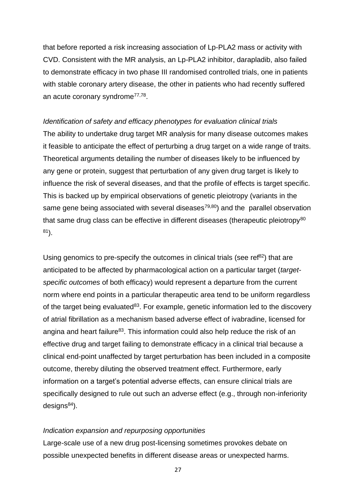that before reported a risk increasing association of Lp-PLA2 mass or activity with CVD. Consistent with the MR analysis, an Lp-PLA2 inhibitor, darapladib, also failed to demonstrate efficacy in two phase III randomised controlled trials, one in patients with stable coronary artery disease, the other in patients who had recently suffered an acute coronary syndrome<sup>77,78</sup>.

*Identification of safety and efficacy phenotypes for evaluation clinical trials* The ability to undertake drug target MR analysis for many disease outcomes makes it feasible to anticipate the effect of perturbing a drug target on a wide range of traits. Theoretical arguments detailing the number of diseases likely to be influenced by any gene or protein, suggest that perturbation of any given drug target is likely to influence the risk of several diseases, and that the profile of effects is target specific. This is backed up by empirical observations of genetic pleiotropy (variants in the same gene being associated with several diseases $79,80$  and the parallel observation that same drug class can be effective in different diseases (therapeutic pleiotropy $80$ <sup>81</sup>).

Using genomics to pre-specify the outcomes in clinical trials (see ref<sup>82</sup>) that are anticipated to be affected by pharmacological action on a particular target (*targetspecific outcomes* of both efficacy) would represent a departure from the current norm where end points in a particular therapeutic area tend to be uniform regardless of the target being evaluated $83$ . For example, genetic information led to the discovery of atrial fibrillation as a mechanism based adverse effect of ivabradine, licensed for angina and heart failure<sup>83</sup>. This information could also help reduce the risk of an effective drug and target failing to demonstrate efficacy in a clinical trial because a clinical end-point unaffected by target perturbation has been included in a composite outcome, thereby diluting the observed treatment effect. Furthermore, early information on a target's potential adverse effects, can ensure clinical trials are specifically designed to rule out such an adverse effect (e.g., through non-inferiority  $designs<sup>84</sup>$ ).

#### *Indication expansion and repurposing opportunities*

Large-scale use of a new drug post-licensing sometimes provokes debate on possible unexpected benefits in different disease areas or unexpected harms.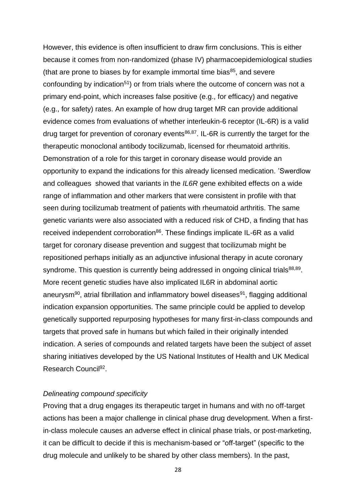However, this evidence is often insufficient to draw firm conclusions. This is either because it comes from non-randomized (phase IV) pharmacoepidemiological studies (that are prone to biases by for example immortal time bias $85$ , and severe confounding by indication<sup>51</sup>) or from trials where the outcome of concern was not a primary end-point, which increases false positive (e.g., for efficacy) and negative (e.g., for safety) rates. An example of how drug target MR can provide additional evidence comes from evaluations of whether interleukin-6 receptor (IL-6R) is a valid drug target for prevention of coronary events<sup>86,87</sup>. IL-6R is currently the target for the therapeutic monoclonal antibody tocilizumab, licensed for rheumatoid arthritis. Demonstration of a role for this target in coronary disease would provide an opportunity to expand the indications for this already licensed medication. 'Swerdlow and colleagues showed that variants in the *IL6R* gene exhibited effects on a wide range of inflammation and other markers that were consistent in profile with that seen during tocilizumab treatment of patients with rheumatoid arthritis. The same genetic variants were also associated with a reduced risk of CHD, a finding that has received independent corroboration<sup>86</sup>. These findings implicate IL-6R as a valid target for coronary disease prevention and suggest that tocilizumab might be repositioned perhaps initially as an adjunctive infusional therapy in acute coronary syndrome. This question is currently being addressed in ongoing clinical trials<sup>88,89</sup>. More recent genetic studies have also implicated IL6R in abdominal aortic aneurysm<sup>90</sup>, atrial fibrillation and inflammatory bowel diseases<sup>91</sup>, flagging additional indication expansion opportunities. The same principle could be applied to develop genetically supported repurposing hypotheses for many first-in-class compounds and targets that proved safe in humans but which failed in their originally intended indication. A series of compounds and related targets have been the subject of asset sharing initiatives developed by the US National Institutes of Health and UK Medical Research Council<sup>92</sup>.

#### *Delineating compound specificity*

Proving that a drug engages its therapeutic target in humans and with no off-target actions has been a major challenge in clinical phase drug development. When a firstin-class molecule causes an adverse effect in clinical phase trials, or post-marketing, it can be difficult to decide if this is mechanism-based or "off-target" (specific to the drug molecule and unlikely to be shared by other class members). In the past,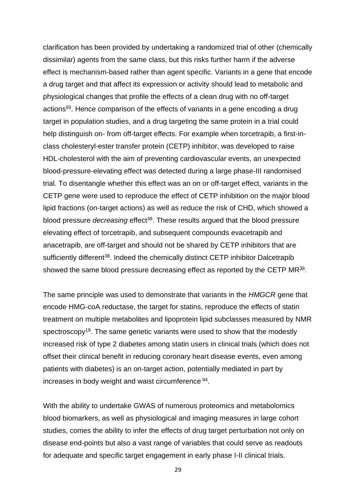clarification has been provided by undertaking a randomized trial of other (chemically dissimilar) agents from the same class, but this risks further harm if the adverse effect is mechanism-based rather than agent specific. Variants in a gene that encode a drug target and that affect its expression or activity should lead to metabolic and physiological changes that profile the effects of a clean drug with no off-target actions<sup>93</sup>. Hence comparison of the effects of variants in a gene encoding a drug target in population studies, and a drug targeting the same protein in a trial could help distinguish on- from off-target effects. For example when torcetrapib, a first-inclass cholesteryl-ester transfer protein (CETP) inhibitor, was developed to raise HDL-cholesterol with the aim of preventing cardiovascular events, an unexpected blood-pressure-elevating effect was detected during a large phase-III randomised trial. To disentangle whether this effect was an on or off-target effect, variants in the CETP gene were used to reproduce the effect of CETP inhibition on the major blood lipid fractions (on-target actions) as well as reduce the risk of CHD, which showed a blood pressure *decreasing* effect<sup>38</sup>. These results argued that the blood pressure elevating effect of torcetrapib, and subsequent compounds evacetrapib and anacetrapib, are off-target and should not be shared by CETP inhibitors that are sufficiently different<sup>38</sup>. Indeed the chemically distinct CETP inhibitor Dalcetrapib showed the same blood pressure decreasing effect as reported by the CETP MR<sup>38</sup>.

The same principle was used to demonstrate that variants in the *HMGCR* gene that encode HMG-coA reductase, the target for statins, reproduce the effects of statin treatment on multiple metabolites and lipoprotein lipid subclasses measured by NMR spectroscopy<sup>19</sup>. The same genetic variants were used to show that the modestly increased risk of type 2 diabetes among statin users in clinical trials (which does not offset their clinical benefit in reducing coronary heart disease events, even among patients with diabetes) is an on-target action, potentially mediated in part by increases in body weight and waist circumference <sup>94</sup> .

With the ability to undertake GWAS of numerous proteomics and metabolomics blood biomarkers, as well as physiological and imaging measures in large cohort studies, comes the ability to infer the effects of drug target perturbation not only on disease end-points but also a vast range of variables that could serve as readouts for adequate and specific target engagement in early phase I-II clinical trials.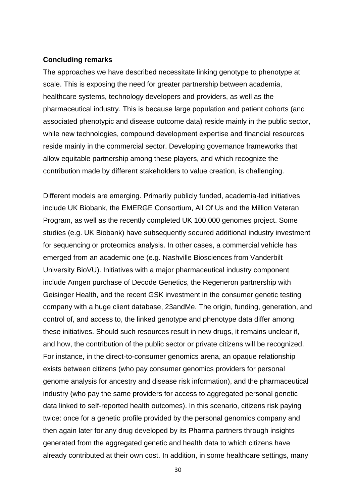#### **Concluding remarks**

The approaches we have described necessitate linking genotype to phenotype at scale. This is exposing the need for greater partnership between academia, healthcare systems, technology developers and providers, as well as the pharmaceutical industry. This is because large population and patient cohorts (and associated phenotypic and disease outcome data) reside mainly in the public sector, while new technologies, compound development expertise and financial resources reside mainly in the commercial sector. Developing governance frameworks that allow equitable partnership among these players, and which recognize the contribution made by different stakeholders to value creation, is challenging.

Different models are emerging. Primarily publicly funded, academia-led initiatives include UK Biobank, the EMERGE Consortium, All Of Us and the Million Veteran Program, as well as the recently completed UK 100,000 genomes project. Some studies (e.g. UK Biobank) have subsequently secured additional industry investment for sequencing or proteomics analysis. In other cases, a commercial vehicle has emerged from an academic one (e.g. Nashville Biosciences from Vanderbilt University BioVU). Initiatives with a major pharmaceutical industry component include Amgen purchase of Decode Genetics, the Regeneron partnership with Geisinger Health, and the recent GSK investment in the consumer genetic testing company with a huge client database, 23andMe. The origin, funding, generation, and control of, and access to, the linked genotype and phenotype data differ among these initiatives. Should such resources result in new drugs, it remains unclear if, and how, the contribution of the public sector or private citizens will be recognized. For instance, in the direct-to-consumer genomics arena, an opaque relationship exists between citizens (who pay consumer genomics providers for personal genome analysis for ancestry and disease risk information), and the pharmaceutical industry (who pay the same providers for access to aggregated personal genetic data linked to self-reported health outcomes). In this scenario, citizens risk paying twice: once for a genetic profile provided by the personal genomics company and then again later for any drug developed by its Pharma partners through insights generated from the aggregated genetic and health data to which citizens have already contributed at their own cost. In addition, in some healthcare settings, many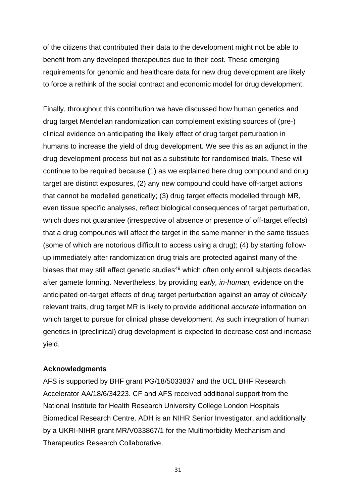of the citizens that contributed their data to the development might not be able to benefit from any developed therapeutics due to their cost. These emerging requirements for genomic and healthcare data for new drug development are likely to force a rethink of the social contract and economic model for drug development.

Finally, throughout this contribution we have discussed how human genetics and drug target Mendelian randomization can complement existing sources of (pre-) clinical evidence on anticipating the likely effect of drug target perturbation in humans to increase the yield of drug development. We see this as an adjunct in the drug development process but not as a substitute for randomised trials. These will continue to be required because (1) as we explained here drug compound and drug target are distinct exposures, (2) any new compound could have off-target actions that cannot be modelled genetically; (3) drug target effects modelled through MR, even tissue specific analyses, reflect biological consequences of target perturbation, which does not guarantee (irrespective of absence or presence of off-target effects) that a drug compounds will affect the target in the same manner in the same tissues (some of which are notorious difficult to access using a drug); (4) by starting followup immediately after randomization drug trials are protected against many of the biases that may still affect genetic studies<sup>49</sup> which often only enroll subjects decades after gamete forming. Nevertheless, by providing *early, in-human,* evidence on the anticipated on-target effects of drug target perturbation against an array of *clinically*  relevant traits, drug target MR is likely to provide additional *accurate* information on which target to pursue for clinical phase development. As such integration of human genetics in (preclinical) drug development is expected to decrease cost and increase yield.

# **Acknowledgments**

AFS is supported by BHF grant PG/18/5033837 and the UCL BHF Research Accelerator AA/18/6/34223. CF and AFS received additional support from the National Institute for Health Research University College London Hospitals Biomedical Research Centre. ADH is an NIHR Senior Investigator, and additionally by a UKRI-NIHR grant MR/V033867/1 for the Multimorbidity Mechanism and Therapeutics Research Collaborative.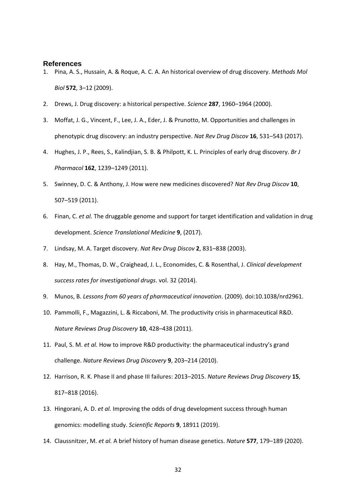#### **References**

- 1. Pina, A. S., Hussain, A. & Roque, A. C. A. An historical overview of drug discovery. *Methods Mol Biol* **572**, 3–12 (2009).
- 2. Drews, J. Drug discovery: a historical perspective. *Science* **287**, 1960–1964 (2000).
- 3. Moffat, J. G., Vincent, F., Lee, J. A., Eder, J. & Prunotto, M. Opportunities and challenges in phenotypic drug discovery: an industry perspective. *Nat Rev Drug Discov* **16**, 531–543 (2017).
- 4. Hughes, J. P., Rees, S., Kalindjian, S. B. & Philpott, K. L. Principles of early drug discovery. *Br J Pharmacol* **162**, 1239–1249 (2011).
- 5. Swinney, D. C. & Anthony, J. How were new medicines discovered? *Nat Rev Drug Discov* **10**, 507–519 (2011).
- 6. Finan, C. *et al.* The druggable genome and support for target identification and validation in drug development. *Science Translational Medicine* **9**, (2017).
- 7. Lindsay, M. A. Target discovery. *Nat Rev Drug Discov* **2**, 831–838 (2003).
- 8. Hay, M., Thomas, D. W., Craighead, J. L., Economides, C. & Rosenthal, J. *Clinical development success rates for investigational drugs*. vol. 32 (2014).
- 9. Munos, B. *Lessons from 60 years of pharmaceutical innovation*. (2009). doi:10.1038/nrd2961.
- 10. Pammolli, F., Magazzini, L. & Riccaboni, M. The productivity crisis in pharmaceutical R&D. *Nature Reviews Drug Discovery* **10**, 428–438 (2011).
- 11. Paul, S. M. *et al.* How to improve R&D productivity: the pharmaceutical industry's grand challenge. *Nature Reviews Drug Discovery* **9**, 203–214 (2010).
- 12. Harrison, R. K. Phase II and phase III failures: 2013–2015. *Nature Reviews Drug Discovery* **15**, 817–818 (2016).
- 13. Hingorani, A. D. *et al.* Improving the odds of drug development success through human genomics: modelling study. *Scientific Reports* **9**, 18911 (2019).
- 14. Claussnitzer, M. *et al.* A brief history of human disease genetics. *Nature* **577**, 179–189 (2020).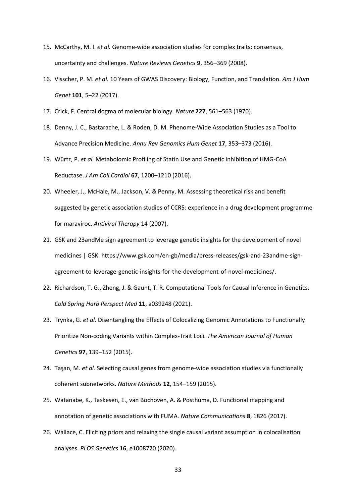- 15. McCarthy, M. I. *et al.* Genome-wide association studies for complex traits: consensus, uncertainty and challenges. *Nature Reviews Genetics* **9**, 356–369 (2008).
- 16. Visscher, P. M. *et al.* 10 Years of GWAS Discovery: Biology, Function, and Translation. *Am J Hum Genet* **101**, 5–22 (2017).
- 17. Crick, F. Central dogma of molecular biology. *Nature* **227**, 561–563 (1970).
- 18. Denny, J. C., Bastarache, L. & Roden, D. M. Phenome-Wide Association Studies as a Tool to Advance Precision Medicine. *Annu Rev Genomics Hum Genet* **17**, 353–373 (2016).
- 19. Würtz, P. *et al.* Metabolomic Profiling of Statin Use and Genetic Inhibition of HMG-CoA Reductase. *J Am Coll Cardiol* **67**, 1200–1210 (2016).
- 20. Wheeler, J., McHale, M., Jackson, V. & Penny, M. Assessing theoretical risk and benefit suggested by genetic association studies of CCR5: experience in a drug development programme for maraviroc. *Antiviral Therapy* 14 (2007).
- 21. GSK and 23andMe sign agreement to leverage genetic insights for the development of novel medicines | GSK. https://www.gsk.com/en-gb/media/press-releases/gsk-and-23andme-signagreement-to-leverage-genetic-insights-for-the-development-of-novel-medicines/.
- 22. Richardson, T. G., Zheng, J. & Gaunt, T. R. Computational Tools for Causal Inference in Genetics. *Cold Spring Harb Perspect Med* **11**, a039248 (2021).
- 23. Trynka, G. *et al.* Disentangling the Effects of Colocalizing Genomic Annotations to Functionally Prioritize Non-coding Variants within Complex-Trait Loci. *The American Journal of Human Genetics* **97**, 139–152 (2015).
- 24. Taşan, M. *et al.* Selecting causal genes from genome-wide association studies via functionally coherent subnetworks. *Nature Methods* **12**, 154–159 (2015).
- 25. Watanabe, K., Taskesen, E., van Bochoven, A. & Posthuma, D. Functional mapping and annotation of genetic associations with FUMA. *Nature Communications* **8**, 1826 (2017).
- 26. Wallace, C. Eliciting priors and relaxing the single causal variant assumption in colocalisation analyses. *PLOS Genetics* **16**, e1008720 (2020).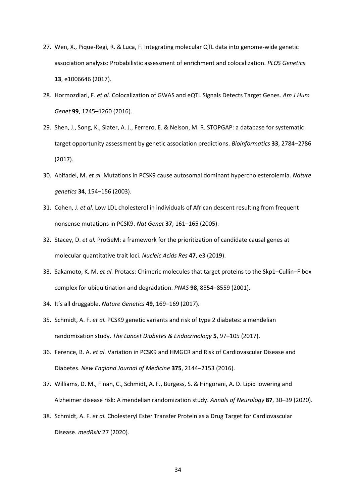- 27. Wen, X., Pique-Regi, R. & Luca, F. Integrating molecular QTL data into genome-wide genetic association analysis: Probabilistic assessment of enrichment and colocalization. *PLOS Genetics* **13**, e1006646 (2017).
- 28. Hormozdiari, F. *et al.* Colocalization of GWAS and eQTL Signals Detects Target Genes. *Am J Hum Genet* **99**, 1245–1260 (2016).
- 29. Shen, J., Song, K., Slater, A. J., Ferrero, E. & Nelson, M. R. STOPGAP: a database for systematic target opportunity assessment by genetic association predictions. *Bioinformatics* **33**, 2784–2786 (2017).
- 30. Abifadel, M. *et al.* Mutations in PCSK9 cause autosomal dominant hypercholesterolemia. *Nature genetics* **34**, 154–156 (2003).
- 31. Cohen, J. *et al.* Low LDL cholesterol in individuals of African descent resulting from frequent nonsense mutations in PCSK9. *Nat Genet* **37**, 161–165 (2005).
- 32. Stacey, D. *et al.* ProGeM: a framework for the prioritization of candidate causal genes at molecular quantitative trait loci. *Nucleic Acids Res* **47**, e3 (2019).
- 33. Sakamoto, K. M. *et al.* Protacs: Chimeric molecules that target proteins to the Skp1–Cullin–F box complex for ubiquitination and degradation. *PNAS* **98**, 8554–8559 (2001).
- 34. It's all druggable. *Nature Genetics* **49**, 169–169 (2017).
- 35. Schmidt, A. F. *et al.* PCSK9 genetic variants and risk of type 2 diabetes: a mendelian randomisation study. *The Lancet Diabetes & Endocrinology* **5**, 97–105 (2017).
- 36. Ference, B. A. *et al.* Variation in PCSK9 and HMGCR and Risk of Cardiovascular Disease and Diabetes. *New England Journal of Medicine* **375**, 2144–2153 (2016).
- 37. Williams, D. M., Finan, C., Schmidt, A. F., Burgess, S. & Hingorani, A. D. Lipid lowering and Alzheimer disease risk: A mendelian randomization study. *Annals of Neurology* **87**, 30–39 (2020).
- 38. Schmidt, A. F. *et al.* Cholesteryl Ester Transfer Protein as a Drug Target for Cardiovascular Disease. *medRxiv* 27 (2020).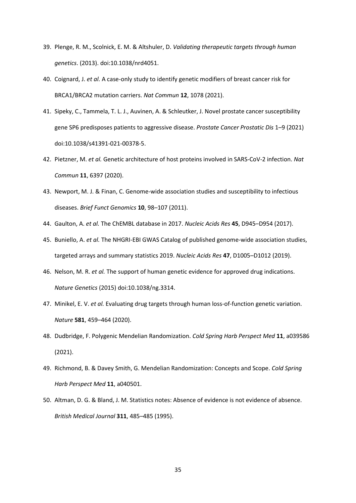- 39. Plenge, R. M., Scolnick, E. M. & Altshuler, D. *Validating therapeutic targets through human genetics*. (2013). doi:10.1038/nrd4051.
- 40. Coignard, J. *et al.* A case-only study to identify genetic modifiers of breast cancer risk for BRCA1/BRCA2 mutation carriers. *Nat Commun* **12**, 1078 (2021).
- 41. Sipeky, C., Tammela, T. L. J., Auvinen, A. & Schleutker, J. Novel prostate cancer susceptibility gene SP6 predisposes patients to aggressive disease. *Prostate Cancer Prostatic Dis* 1–9 (2021) doi:10.1038/s41391-021-00378-5.
- 42. Pietzner, M. *et al.* Genetic architecture of host proteins involved in SARS-CoV-2 infection. *Nat Commun* **11**, 6397 (2020).
- 43. Newport, M. J. & Finan, C. Genome-wide association studies and susceptibility to infectious diseases. *Brief Funct Genomics* **10**, 98–107 (2011).
- 44. Gaulton, A. *et al.* The ChEMBL database in 2017. *Nucleic Acids Res* **45**, D945–D954 (2017).
- 45. Buniello, A. *et al.* The NHGRI-EBI GWAS Catalog of published genome-wide association studies, targeted arrays and summary statistics 2019. *Nucleic Acids Res* **47**, D1005–D1012 (2019).
- 46. Nelson, M. R. *et al.* The support of human genetic evidence for approved drug indications. *Nature Genetics* (2015) doi:10.1038/ng.3314.
- 47. Minikel, E. V. *et al.* Evaluating drug targets through human loss-of-function genetic variation. *Nature* **581**, 459–464 (2020).
- 48. Dudbridge, F. Polygenic Mendelian Randomization. *Cold Spring Harb Perspect Med* **11**, a039586 (2021).
- 49. Richmond, B. & Davey Smith, G. Mendelian Randomization: Concepts and Scope. *Cold Spring Harb Perspect Med* **11**, a040501.
- 50. Altman, D. G. & Bland, J. M. Statistics notes: Absence of evidence is not evidence of absence. *British Medical Journal* **311**, 485–485 (1995).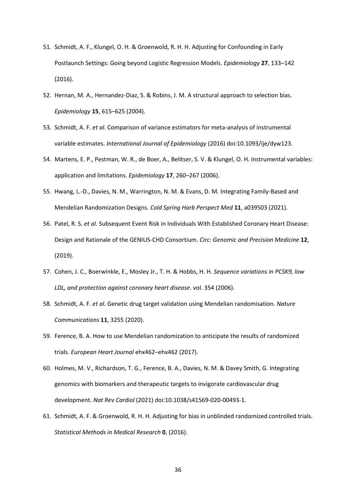- 51. Schmidt, A. F., Klungel, O. H. & Groenwold, R. H. H. Adjusting for Confounding in Early Postlaunch Settings: Going beyond Logistic Regression Models. *Epidemiology* **27**, 133–142 (2016).
- 52. Hernan, M. A., Hernandez-Diaz, S. & Robins, J. M. A structural approach to selection bias. *Epidemiology* **15**, 615–625 (2004).
- 53. Schmidt, A. F. *et al.* Comparison of variance estimators for meta-analysis of instrumental variable estimates. *International Journal of Epidemiology* (2016) doi:10.1093/ije/dyw123.
- 54. Martens, E. P., Pestman, W. R., de Boer, A., Belitser, S. V. & Klungel, O. H. Instrumental variables: application and limitations. *Epidemiology* **17**, 260–267 (2006).
- 55. Hwang, L.-D., Davies, N. M., Warrington, N. M. & Evans, D. M. Integrating Family-Based and Mendelian Randomization Designs. *Cold Spring Harb Perspect Med* **11**, a039503 (2021).
- 56. Patel, R. S. *et al.* Subsequent Event Risk in Individuals With Established Coronary Heart Disease: Design and Rationale of the GENIUS-CHD Consortium. *Circ: Genomic and Precision Medicine* **12**, (2019).
- 57. Cohen, J. C., Boerwinkle, E., Mosley Jr., T. H. & Hobbs, H. H. *Sequence variations in PCSK9, low LDL, and protection against coronary heart disease*. vol. 354 (2006).
- 58. Schmidt, A. F. *et al.* Genetic drug target validation using Mendelian randomisation. *Nature Communications* **11**, 3255 (2020).
- 59. Ference, B. A. How to use Mendelian randomization to anticipate the results of randomized trials. *European Heart Journal* ehx462–ehx462 (2017).
- 60. Holmes, M. V., Richardson, T. G., Ference, B. A., Davies, N. M. & Davey Smith, G. Integrating genomics with biomarkers and therapeutic targets to invigorate cardiovascular drug development. *Nat Rev Cardiol* (2021) doi:10.1038/s41569-020-00493-1.
- 61. Schmidt, A. F. & Groenwold, R. H. H. Adjusting for bias in unblinded randomized controlled trials. *Statistical Methods in Medical Research* **0**, (2016).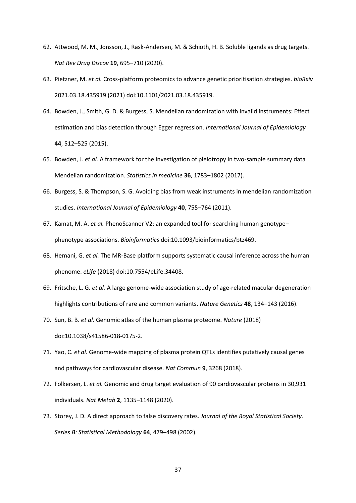- 62. Attwood, M. M., Jonsson, J., Rask-Andersen, M. & Schiöth, H. B. Soluble ligands as drug targets. *Nat Rev Drug Discov* **19**, 695–710 (2020).
- 63. Pietzner, M. *et al.* Cross-platform proteomics to advance genetic prioritisation strategies. *bioRxiv* 2021.03.18.435919 (2021) doi:10.1101/2021.03.18.435919.
- 64. Bowden, J., Smith, G. D. & Burgess, S. Mendelian randomization with invalid instruments: Effect estimation and bias detection through Egger regression. *International Journal of Epidemiology* **44**, 512–525 (2015).
- 65. Bowden, J. *et al.* A framework for the investigation of pleiotropy in two-sample summary data Mendelian randomization. *Statistics in medicine* **36**, 1783–1802 (2017).
- 66. Burgess, S. & Thompson, S. G. Avoiding bias from weak instruments in mendelian randomization studies. *International Journal of Epidemiology* **40**, 755–764 (2011).
- 67. Kamat, M. A. *et al.* PhenoScanner V2: an expanded tool for searching human genotype– phenotype associations. *Bioinformatics* doi:10.1093/bioinformatics/btz469.
- 68. Hemani, G. *et al.* The MR-Base platform supports systematic causal inference across the human phenome. *eLife* (2018) doi:10.7554/eLife.34408.
- 69. Fritsche, L. G. *et al.* A large genome-wide association study of age-related macular degeneration highlights contributions of rare and common variants. *Nature Genetics* **48**, 134–143 (2016).
- 70. Sun, B. B. *et al.* Genomic atlas of the human plasma proteome. *Nature* (2018) doi:10.1038/s41586-018-0175-2.
- 71. Yao, C. *et al.* Genome‐wide mapping of plasma protein QTLs identifies putatively causal genes and pathways for cardiovascular disease. *Nat Commun* **9**, 3268 (2018).
- 72. Folkersen, L. *et al.* Genomic and drug target evaluation of 90 cardiovascular proteins in 30,931 individuals. *Nat Metab* **2**, 1135–1148 (2020).
- 73. Storey, J. D. A direct approach to false discovery rates. *Journal of the Royal Statistical Society. Series B: Statistical Methodology* **64**, 479–498 (2002).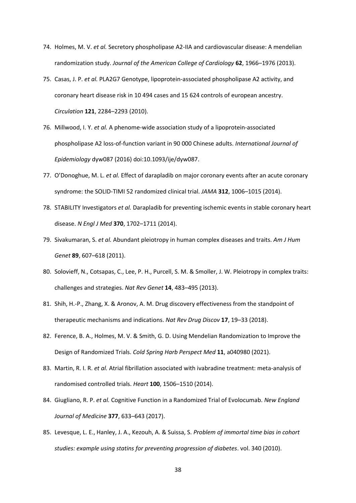- 74. Holmes, M. V. *et al.* Secretory phospholipase A2-IIA and cardiovascular disease: A mendelian randomization study. *Journal of the American College of Cardiology* **62**, 1966–1976 (2013).
- 75. Casas, J. P. *et al.* PLA2G7 Genotype, lipoprotein-associated phospholipase A2 activity, and coronary heart disease risk in 10 494 cases and 15 624 controls of european ancestry. *Circulation* **121**, 2284–2293 (2010).
- 76. Millwood, I. Y. *et al.* A phenome-wide association study of a lipoprotein-associated phospholipase A2 loss-of-function variant in 90 000 Chinese adults. *International Journal of Epidemiology* dyw087 (2016) doi:10.1093/ije/dyw087.
- 77. O'Donoghue, M. L. *et al.* Effect of darapladib on major coronary events after an acute coronary syndrome: the SOLID-TIMI 52 randomized clinical trial. *JAMA* **312**, 1006–1015 (2014).
- 78. STABILITY Investigators *et al.* Darapladib for preventing ischemic events in stable coronary heart disease. *N Engl J Med* **370**, 1702–1711 (2014).
- 79. Sivakumaran, S. *et al.* Abundant pleiotropy in human complex diseases and traits. *Am J Hum Genet* **89**, 607–618 (2011).
- 80. Solovieff, N., Cotsapas, C., Lee, P. H., Purcell, S. M. & Smoller, J. W. Pleiotropy in complex traits: challenges and strategies. *Nat Rev Genet* **14**, 483–495 (2013).
- 81. Shih, H.-P., Zhang, X. & Aronov, A. M. Drug discovery effectiveness from the standpoint of therapeutic mechanisms and indications. *Nat Rev Drug Discov* **17**, 19–33 (2018).
- 82. Ference, B. A., Holmes, M. V. & Smith, G. D. Using Mendelian Randomization to Improve the Design of Randomized Trials. *Cold Spring Harb Perspect Med* **11**, a040980 (2021).
- 83. Martin, R. I. R. *et al.* Atrial fibrillation associated with ivabradine treatment: meta-analysis of randomised controlled trials. *Heart* **100**, 1506–1510 (2014).
- 84. Giugliano, R. P. *et al.* Cognitive Function in a Randomized Trial of Evolocumab. *New England Journal of Medicine* **377**, 633–643 (2017).
- 85. Levesque, L. E., Hanley, J. A., Kezouh, A. & Suissa, S. *Problem of immortal time bias in cohort studies: example using statins for preventing progression of diabetes*. vol. 340 (2010).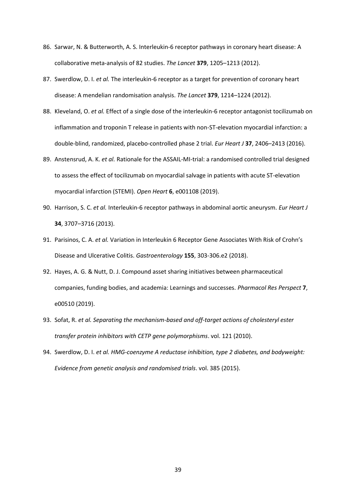- 86. Sarwar, N. & Butterworth, A. S. Interleukin-6 receptor pathways in coronary heart disease: A collaborative meta-analysis of 82 studies. *The Lancet* **379**, 1205–1213 (2012).
- 87. Swerdlow, D. I. *et al.* The interleukin-6 receptor as a target for prevention of coronary heart disease: A mendelian randomisation analysis. *The Lancet* **379**, 1214–1224 (2012).
- 88. Kleveland, O. *et al.* Effect of a single dose of the interleukin-6 receptor antagonist tocilizumab on inflammation and troponin T release in patients with non-ST-elevation myocardial infarction: a double-blind, randomized, placebo-controlled phase 2 trial. *Eur Heart J* **37**, 2406–2413 (2016).
- 89. Anstensrud, A. K. *et al.* Rationale for the ASSAIL-MI-trial: a randomised controlled trial designed to assess the effect of tocilizumab on myocardial salvage in patients with acute ST-elevation myocardial infarction (STEMI). *Open Heart* **6**, e001108 (2019).
- 90. Harrison, S. C. *et al.* Interleukin-6 receptor pathways in abdominal aortic aneurysm. *Eur Heart J* **34**, 3707–3716 (2013).
- 91. Parisinos, C. A. *et al.* Variation in Interleukin 6 Receptor Gene Associates With Risk of Crohn's Disease and Ulcerative Colitis. *Gastroenterology* **155**, 303-306.e2 (2018).
- 92. Hayes, A. G. & Nutt, D. J. Compound asset sharing initiatives between pharmaceutical companies, funding bodies, and academia: Learnings and successes. *Pharmacol Res Perspect* **7**, e00510 (2019).
- 93. Sofat, R. *et al. Separating the mechanism-based and off-target actions of cholesteryl ester transfer protein inhibitors with CETP gene polymorphisms*. vol. 121 (2010).
- 94. Swerdlow, D. I. *et al. HMG-coenzyme A reductase inhibition, type 2 diabetes, and bodyweight: Evidence from genetic analysis and randomised trials*. vol. 385 (2015).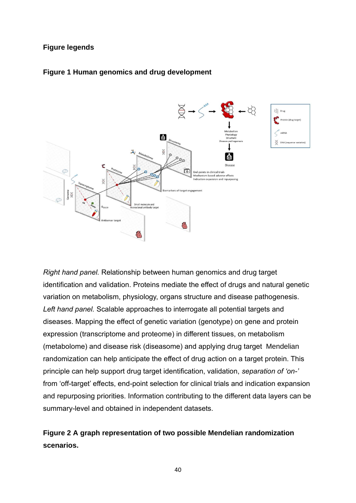# **Figure legends**





*Right hand panel.* Relationship between human genomics and drug target identification and validation. Proteins mediate the effect of drugs and natural genetic variation on metabolism, physiology, organs structure and disease pathogenesis. *Left hand panel.* Scalable approaches to interrogate all potential targets and diseases. Mapping the effect of genetic variation (genotype) on gene and protein expression (transcriptome and proteome) in different tissues, on metabolism (metabolome) and disease risk (diseasome) and applying drug target Mendelian randomization can help anticipate the effect of drug action on a target protein. This principle can help support drug target identification, validation, *separation of 'on-'* from 'off-target' effects, end-point selection for clinical trials and indication expansion and repurposing priorities. Information contributing to the different data layers can be summary-level and obtained in independent datasets.

# **Figure 2 A graph representation of two possible Mendelian randomization scenarios.**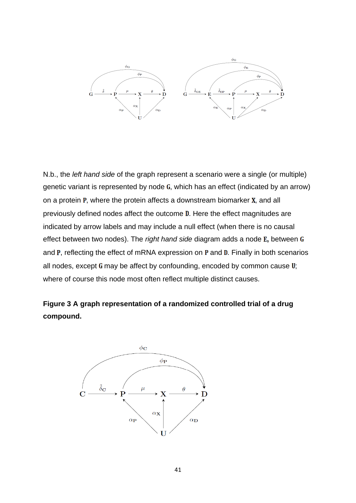

N.b., the *left hand side* of the graph represent a scenario were a single (or multiple) genetic variant is represented by node  $G$ , which has an effect (indicated by an arrow) on a protein  $P$ , where the protein affects a downstream biomarker  $X$ , and all previously defined nodes affect the outcome D. Here the effect magnitudes are indicated by arrow labels and may include a null effect (when there is no causal effect between two nodes). The *right hand side* diagram adds a node **E**, between **G** and  $P$ , reflecting the effect of mRNA expression on  $P$  and  $D$ . Finally in both scenarios all nodes, except  $G$  may be affect by confounding, encoded by common cause  $U$ ; where of course this node most often reflect multiple distinct causes.

**Figure 3 A graph representation of a randomized controlled trial of a drug compound.** 

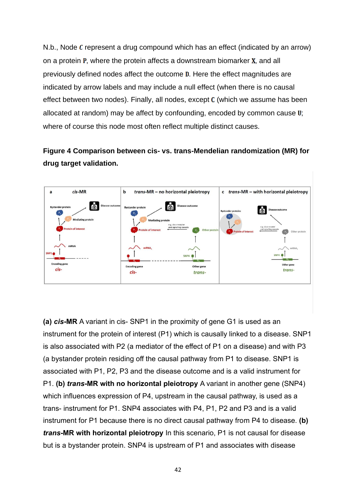N.b., Node  $\mathcal C$  represent a drug compound which has an effect (indicated by an arrow) on a protein  $P$ , where the protein affects a downstream biomarker  $X$ , and all previously defined nodes affect the outcome **D**. Here the effect magnitudes are indicated by arrow labels and may include a null effect (when there is no causal effect between two nodes). Finally, all nodes, except  $C$  (which we assume has been allocated at random) may be affect by confounding, encoded by common cause  $\mathbf{U}$ ; where of course this node most often reflect multiple distinct causes.

# **Figure 4 Comparison between cis- vs. trans-Mendelian randomization (MR) for drug target validation.**



**(a)** *cis***-MR** A variant in cis- SNP1 in the proximity of gene G1 is used as an instrument for the protein of interest (P1) which is causally linked to a disease. SNP1 is also associated with P2 (a mediator of the effect of P1 on a disease) and with P3 (a bystander protein residing off the causal pathway from P1 to disease. SNP1 is associated with P1, P2, P3 and the disease outcome and is a valid instrument for P1. **(b)** *trans***-MR with no horizontal pleiotropy** A variant in another gene (SNP4) which influences expression of P4, upstream in the causal pathway, is used as a trans- instrument for P1. SNP4 associates with P4, P1, P2 and P3 and is a valid instrument for P1 because there is no direct causal pathway from P4 to disease. **(b)**  *trans***-MR with horizontal pleiotropy** In this scenario, P1 is not causal for disease but is a bystander protein. SNP4 is upstream of P1 and associates with disease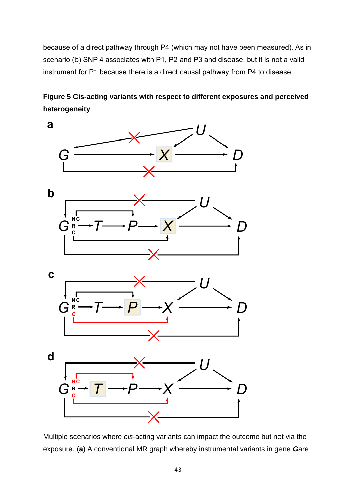because of a direct pathway through P4 (which may not have been measured). As in scenario (b) SNP 4 associates with P1, P2 and P3 and disease, but it is not a valid instrument for P1 because there is a direct causal pathway from P4 to disease.

**Figure 5 Cis-acting variants with respect to different exposures and perceived heterogeneity**



Multiple scenarios where *cis*-acting variants can impact the outcome but not via the exposure. (**a**) A conventional MR graph whereby instrumental variants in gene *G*are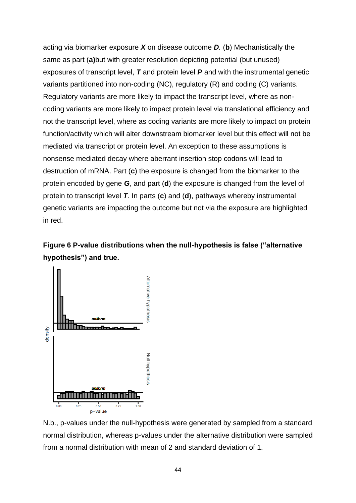acting via biomarker exposure *X* on disease outcome *D.* (**b**) Mechanistically the same as part (**a)**but with greater resolution depicting potential (but unused) exposures of transcript level, *T* and protein level *P* and with the instrumental genetic variants partitioned into non-coding (NC), regulatory (R) and coding (C) variants. Regulatory variants are more likely to impact the transcript level, where as noncoding variants are more likely to impact protein level via translational efficiency and not the transcript level, where as coding variants are more likely to impact on protein function/activity which will alter downstream biomarker level but this effect will not be mediated via transcript or protein level. An exception to these assumptions is nonsense mediated decay where aberrant insertion stop codons will lead to destruction of mRNA. Part (**c**) the exposure is changed from the biomarker to the protein encoded by gene *G*, and part (**d**) the exposure is changed from the level of protein to transcript level *T*. In parts (**c**) and (**d**), pathways whereby instrumental genetic variants are impacting the outcome but not via the exposure are highlighted in red.





N.b., p-values under the null-hypothesis were generated by sampled from a standard normal distribution, whereas p-values under the alternative distribution were sampled from a normal distribution with mean of 2 and standard deviation of 1.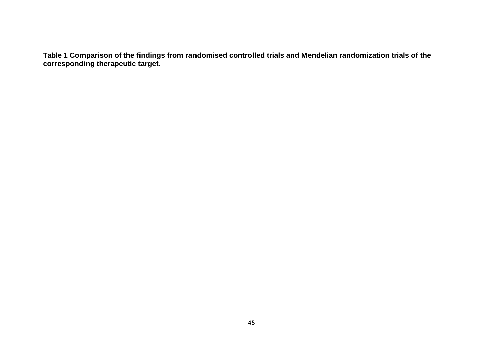**Table 1 Comparison of the findings from randomised controlled trials and Mendelian randomization trials of the corresponding therapeutic target.**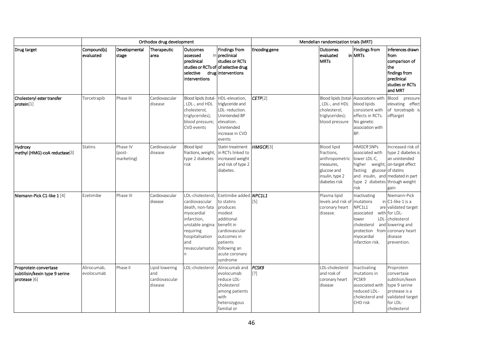|                                                                         | Orthodox drug development |                                  |                                                    |                                                                                                                                                                                   |                                                                                                                                                                                   | Mendelian randomization trials (MRT) |                                                                                                                    |                                                                                                                                              |                                                                                                                                                                      |
|-------------------------------------------------------------------------|---------------------------|----------------------------------|----------------------------------------------------|-----------------------------------------------------------------------------------------------------------------------------------------------------------------------------------|-----------------------------------------------------------------------------------------------------------------------------------------------------------------------------------|--------------------------------------|--------------------------------------------------------------------------------------------------------------------|----------------------------------------------------------------------------------------------------------------------------------------------|----------------------------------------------------------------------------------------------------------------------------------------------------------------------|
| Drug target                                                             | Compound(s)<br>evaluated  | Developmental<br>stage           | Therapeutic<br>area                                | Outcomes<br>assessed<br>preclinical<br>selective<br>interventions                                                                                                                 | <b>Findings from</b><br>in preclinical<br>studies or RCTs<br>studies or RCTs of of selective drug<br>druginterventions                                                            | Encoding gene                        | <b>Outcomes</b><br>evaluated<br><b>MRTs</b>                                                                        | <b>Findings from</b><br><b>in MRTs</b>                                                                                                       | Inferences drawn<br>from<br>comparison of<br>the<br>findings from<br>preclinical<br>studies or RCTs<br>and MRT                                                       |
| Cholesteryl ester transfer<br>protein[1]                                | Torcetrapib               | Phase III                        | Cardiovascular<br>disease                          | Blood lipids (total-<br>LDL-, and HDL<br>cholesterol,<br>triglycerides);<br>blood pressure;<br>CVD events                                                                         | HDL-elevation,<br>triglyceride and<br>LDL-reduction.<br>Unintended BP<br>elevation.<br>Unintended<br>increase in CVD<br>events                                                    | CETP[2]                              | LDL-, and HDL<br>cholesterol,<br>triglycerides);<br>blood pressure                                                 | Blood lipids (total- Associations with<br>blood lipids<br>consistent with<br>effects in RCTs.<br>No genetic<br>association with<br>BP.       | Blood<br>pressure<br>elevating effect<br>of torcetrapib is<br>offtarget                                                                                              |
| Hydroxy<br>methyl (HMG)-coA reductase[3]                                | <b>Statins</b>            | Phase IV<br>(post-<br>marketing) | Cardiovascular<br>disease                          | <b>Blood lipid</b><br>fractions, weight,<br>type 2 diabetes<br>risk                                                                                                               | Statin treatment<br>in RCTs linked to<br>increased weight<br>and risk of type 2<br>diabetes.                                                                                      | HMGCR[3]                             | <b>Blood lipid</b><br>fractions,<br>anthropometric<br>measures,<br>glucose and<br>insulin, type 2<br>diabetes risk | <b>HMGCR SNPs</b><br>associated with<br>lower LDL-C,<br>higher weight, on-target effect<br>fasting<br>type 2 diabetes through weight<br>risk | Increased risk of<br>type 2 diabetes is<br>an unintended<br>glucose of statins<br>and insulin, and mediated in part<br>gain                                          |
| Niemann-Pick C1-like 1 [4]                                              | Ezetimibe                 | Phase III                        | Cardiovascular<br>disease                          | LDL-cholesterol<br>cardiovascular<br>death, non-fata<br>myocardial<br>infarction,<br>unstable angina<br>requiring<br>hospitalisation<br>and<br>revascularisatio<br>$\overline{p}$ | Ezetimibe added NPC1L1<br>to statins<br>produces<br>modest<br>additional<br>benefit in<br>cardiovascular<br>outcomes in<br>patients<br>following an<br>acute coronary<br>syndrome | [5]                                  | Plasma lipid<br>levels and risk of<br>coronary heart<br>disease.                                                   | Inactivating<br>mutations<br>NPC1L1<br>associated<br>lower<br>cholesterol<br>protection<br>myocardial<br>infarction risk.                    | Niemann-Pick<br>$in$ C1-like 1 is a<br>are validated target<br>with for LDL-<br>LDL-cholesterol<br>and lowering and<br>from coronary heart<br>disease<br>prevention. |
| Proprotein convertase<br>subtilisin/kexin type 9 serine<br>protease [6] | Alirocumab,<br>evolocumab | Phase II                         | Lipid lowering<br>and<br>cardiovascular<br>disease | LDL-cholesterol                                                                                                                                                                   | Alirocumab and<br>evolocumab<br>reduce LDL-<br>cholesterol<br>among patients<br>with<br>heterozygous<br>familial or                                                               | <b>PCSK9</b><br>$[7]$                | LDL-cholesterol<br>and rosk of<br>coronary heart<br>disease                                                        | Inactivating<br>mutations in<br>PCSK9<br>associated with<br>reduced LDL-<br>cholesterol and<br>CHD risk                                      | Proprotein<br>convertase<br>subtilisin/kexin<br>type 9 serine<br>protease is a<br>validated target<br>for LDL-<br>cholesterol                                        |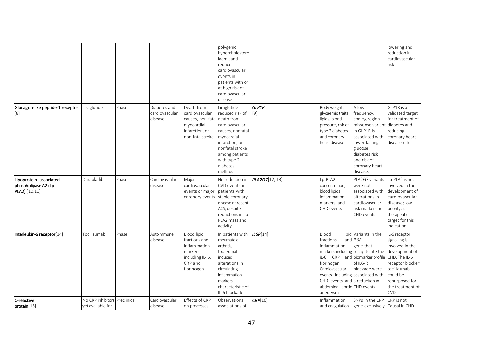|                                                                  |                                        |             |                                           |                                                                                                            | polygenic<br>hypercholestero<br>laemiaand<br>reduce<br>cardiovascular<br>events in<br>patients with or<br>at high risk of<br>cardiovascular<br>disease                                         |                     |                                                                                                                                                              |                                                                                                                                                                                                    | lowering and<br>reduction in<br>cardiovascular<br>risk                                                                                                                                  |
|------------------------------------------------------------------|----------------------------------------|-------------|-------------------------------------------|------------------------------------------------------------------------------------------------------------|------------------------------------------------------------------------------------------------------------------------------------------------------------------------------------------------|---------------------|--------------------------------------------------------------------------------------------------------------------------------------------------------------|----------------------------------------------------------------------------------------------------------------------------------------------------------------------------------------------------|-----------------------------------------------------------------------------------------------------------------------------------------------------------------------------------------|
| Glucagon-like peptide-1 receptor<br>$[8]$                        | Liraglutide                            | Phase III   | Diabetes and<br>cardiovascular<br>disease | Death from<br>cardiovascular<br>causes, non-fata<br>myocardial<br>infarction, or<br>non-fata stroke.       | Liraglutide<br>reduced risk of<br>death from<br>cardiovascular<br>causes, nonfatal<br>myocardial<br>infarction, or<br>nonfatal stroke<br>among patients<br>with type 2<br>diabetes<br>mellitus | <b>GLP1R</b><br>[9] | Body weight,<br>glycaemic traits,<br>lipids, blood<br>pressure, risk of<br>type 2 diabetes<br>and coronary<br>heart disease                                  | A low<br>frequency,<br>coding region<br>missense variant diabetes and<br>in GLP1R is<br>associated with<br>lower fasting<br>glucose,<br>diabetes risk<br>and risk of<br>coronary heart<br>disease. | GLP1R is a<br>validated target<br>for treatment of<br>reducing<br>coronary heart<br>disease risk                                                                                        |
| Lipoprotein-associated<br>phospholipase A2 (Lp-<br>PLA2) [10,11] | Darapladib                             | Phase III   | Cardiovascular<br>disease                 | Major<br>cardiovascular<br>events or major<br>coronary events                                              | No reduction in<br>CVD events in<br>patients with<br>stable coronary<br>disease or recent<br>ACS; despite<br>reductions in Lp-<br>PLA2 mass and<br>activity.                                   | PLA2G7[12, 13]      | Lp-PLA2<br>concentration,<br>blood lipids,<br>inflammation<br>markers, and<br>CHD events                                                                     | PLA2G7 variants<br>were not<br>associated with<br>alterations in<br>cardiovascular<br>risk markers or<br>CHD events                                                                                | Lp-PLA2 is not<br>involved in the<br>development of<br>cardiovascular<br>disease; low<br>priority as<br>therapeutic<br>target for this<br>indication                                    |
| Interleukin-6 receptor[14]                                       | Tocilizumab                            | Phase III   | Autoimmune<br>disease                     | <b>Blood lipid</b><br>fractions and<br>inflammation<br>markers<br>including IL-6,<br>CRP and<br>fibrinogen | In patients with<br>rheumatoid<br>arthritis,<br>tocilizumab<br>induced<br>alterations in<br>circulating<br>inflammation<br>markers<br>characteristic of<br>IL-6 blockade                       | IL6R[14]            | Blood<br>fractions<br>inflammation<br>iL-6, CRP<br>fibrinogen.<br>Cardiovascular<br>CHD events and a reduction in<br>abdominal aortic CHD events<br>aneurysm | lipid Variants in the<br>and IL6R<br>gene that<br>markers including recapitulate the<br>and biomarker profile<br>of IL6-R<br>blockade were<br>events including associated with                     | IL-6 receptor<br>signalling is<br>involved in the<br>development of<br>CHD. The IL-6<br>receptor blocker<br>tocilizumab<br>could be<br>repurposed for<br>the treatment of<br><b>CVD</b> |
| C-reactive<br>protein[15]                                        | No CRP inhibitors<br>yet available for | Preclinical | Cardiovascular<br>disease                 | Effects of CRP<br>on processes                                                                             | Observational<br>associations of                                                                                                                                                               | CRP[16]             | Inflammation<br>and coagulation                                                                                                                              | SNPs in the CRP<br>gene exclusively Causal in CHD                                                                                                                                                  | CRP is not                                                                                                                                                                              |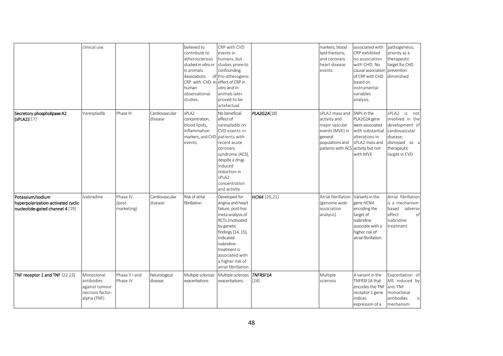|                                                                                           | clinical use.                                                                 |                                  |                           | believed to<br>contribute to<br>atherosclerosis<br>studied in vitro or<br>in animals.<br>Associations<br>CRP with CVD in effect of CRP in<br>human<br>observational<br>studies. | CRP with CVD<br>events in<br>humans, but<br>studies prone to<br>confounding.<br>of Pro-atherogenic<br>vitro and in<br>animals later<br>proved to be<br>artefactual.                                                                         |                           | markers, blood<br>lipid fractions,<br>and coronary<br>heart disease<br>events                                                           | associated with<br>CRP exhibited<br>no association<br>with CHD. No<br>causal association<br>of CRP with CHD<br>based on<br>instrumental<br>variables<br>analysis. | pathogenesis;<br>priority as a<br>therapeutic<br>target for CHD<br>prevention<br>diminished                                          |
|-------------------------------------------------------------------------------------------|-------------------------------------------------------------------------------|----------------------------------|---------------------------|---------------------------------------------------------------------------------------------------------------------------------------------------------------------------------|---------------------------------------------------------------------------------------------------------------------------------------------------------------------------------------------------------------------------------------------|---------------------------|-----------------------------------------------------------------------------------------------------------------------------------------|-------------------------------------------------------------------------------------------------------------------------------------------------------------------|--------------------------------------------------------------------------------------------------------------------------------------|
| Secretory phospholipase A2<br>(cPLA2)[17]                                                 | Varespladib                                                                   | Phase III                        | Cardiovascular<br>disease | sPLA2<br>concentration,<br>blood lipids,<br>inflammation<br>markers, and CVD patients with<br>events                                                                            | No beneficial<br>effect of<br>varespladib on<br>CVD events in<br>recent acute<br>coronary<br>syndrome (ACS),<br>despite a drug-<br>induced<br>reduction in<br>sPLA2<br>concentration<br>and activity                                        | PLA2G2A[18]               | sPLA2 mass and<br>activity and<br>major vascular<br>events (MVE) in<br>general<br>populations and<br>patients with ACS activity but not | SNPs in the<br>PLA2G2A gene<br>were associated<br>with substantial<br>alterations in<br>sPLA2 mass and<br>with MVE                                                | sPLA2<br>is not<br>involved in the<br>development of<br>cardiovascular<br>disease;<br>dismissed as a<br>therapeutic<br>target in CVD |
| Potassium/sodium<br>hyperpolarization-activated cyclic<br>nucleotide-gated channel 4 [19] | Ivabradine                                                                    | Phase IV<br>(post-<br>marketing) | Cardiovascular<br>disease | Risk of atrial<br>fibrillation                                                                                                                                                  | Developed for<br>angina and heart<br>failure, post-hoc<br>meta-analysis of<br>RCTs (motivated<br>by genetic<br>findings [14, 15],<br>indicated<br>ivabridine<br>treatment is<br>associated with<br>a higher risk of<br>atrial fibrillation. | HCN4 [20,21]              | Atrial fibrillation<br>(genome wide<br>association<br>analysis)                                                                         | Variants in the<br>gene HCN4<br>encoding the<br>target of<br>ivabridine<br>associate with a<br>higher risk of<br>atrial fibrillation.                             | Atrial fibrillation<br>is a mechanism-<br>based<br>adverse<br>effect<br>of<br>ivabridine<br>treatment.                               |
| TNF receptor 1 and TNF [22 23]                                                            | Monoclonal<br>antibodies<br>against tumour<br>necrosis factor-<br>alpha (TNF) | Phase II I and<br>Phase IV       | Neurological<br>disease   | Multiple sclerosis<br>exacerbations                                                                                                                                             | Multiple sclerosis<br>exacerbations.                                                                                                                                                                                                        | <b>TNFRSF1A</b><br>$[24]$ | Multiple<br>sclerosis                                                                                                                   | A variant in the<br>TNFRSF1A that<br>encodes the TNF<br>receptor 1 gene<br>indices<br>expression of a                                                             | Exacerbation of<br>MS induced by<br>anti-TNF<br>monoclonal<br>antibodies<br>is<br>mechanism                                          |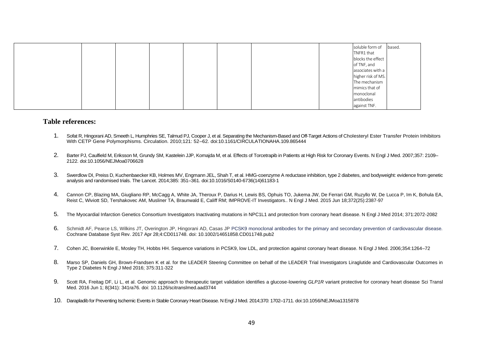|  |  |  |  | soluble form of    | based. |
|--|--|--|--|--------------------|--------|
|  |  |  |  | TNFR1 that         |        |
|  |  |  |  | blocks the effect  |        |
|  |  |  |  | of TNF, and        |        |
|  |  |  |  | associates with a  |        |
|  |  |  |  | higher risk of MS. |        |
|  |  |  |  | The mechanism      |        |
|  |  |  |  | mimics that of     |        |
|  |  |  |  | monoclonal         |        |
|  |  |  |  | antibodies         |        |
|  |  |  |  | against TNF.       |        |

#### **Table references:**

- 1. Sofat R, Hingorani AD, Smeeth L, Humphries SE, Talmud PJ, Cooper J, et al. Separating the Mechanism-Based and Off-Target Actions of Cholesteryl Ester Transfer Protein Inhibitors With CETP Gene Polymorphisms. Circulation. 2010;121: 52–62. doi:10.1161/CIRCULATIONAHA.109.865444
- 2. Barter PJ, Caulfield M, Eriksson M, Grundy SM, Kastelein JJP, Komajda M, et al. Effects of Torcetrapib in Patients at High Risk for Coronary Events. N Engl J Med. 2007;357: 2109– 2122. doi:10.1056/NEJMoa0706628
- 3. Swerdlow DI, Preiss D, Kuchenbaecker KB, Holmes MV, Engmann JEL, Shah T, et al. HMG-coenzyme A reductase inhibition, type 2 diabetes, and bodyweight: evidence from genetic analysis and randomised trials. The Lancet. 2014;385: 351–361. doi:10.1016/S0140-6736(14)61183-1
- 4. Cannon CP, Blazing MA, Giugliano RP, McCagg A, White JA, Theroux P, Darius H, Lewis BS, Ophuis TO, Jukema JW, De Ferrari GM, Ruzyllo W, De Lucca P, Im K, Bohula EA, Reist C, Wiviott SD, Tershakovec AM, Musliner TA, Braunwald E, Califf RM; IMPROVE-IT Investigators.. N Engl J Med. 2015 Jun 18;372(25):2387-97
- 5. The Myocardial Infarction Genetics Consortium Investigators Inactivating mutations in NPC1L1 and protection from coronary heart disease. N Engl J Med 2014; 371:2072-2082
- 6. Schmidt AF, Pearce LS, Wilkins JT, Overington JP, Hingorani AD, Casas JP PCSK9 monoclonal antibodies for the primary and secondary prevention of cardiovascular disease. Cochrane Database Syst Rev. 2017 Apr 28;4:CD011748. doi: 10.1002/14651858.CD011748.pub2
- 7. Cohen JC, Boerwinkle E, Mosley TH, Hobbs HH. Sequence variations in PCSK9, low LDL, and protection against coronary heart disease. N Engl J Med. 2006;354:1264–72
- 8. Marso SP, Daniels GH, Brown-Frandsen K et al. for the LEADER Steering Committee on behalf of the LEADER Trial Investigators Liraglutide and Cardiovascular Outcomes in Type 2 Diabetes N Engl J Med 2016; 375:311-322
- 9. Scott RA, Freitag DF, Li L, et al. Genomic approach to therapeutic target validation identifies a glucose-lowering *GLP1R* variant protective for coronary heart disease Sci Transl Med. 2016 Jun 1; 8(341): 341ra76. doi: 10.1126/scitranslmed.aad3744
- 10. Darapladib for Preventing Ischemic Events in Stable Coronary Heart Disease. N Engl J Med. 2014;370: 1702–1711. doi:10.1056/NEJMoa1315878